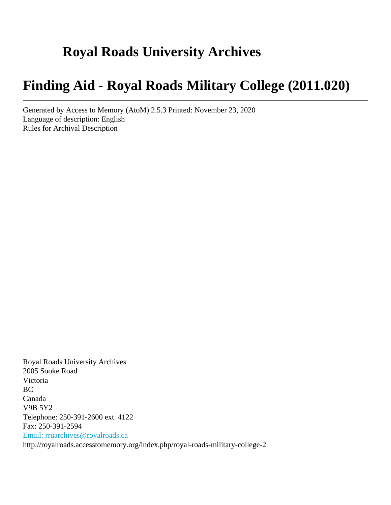# **Royal Roads University Archives**

# **Finding Aid - Royal Roads Military College (2011.020)**

Generated by Access to Memory (AtoM) 2.5.3 Printed: November 23, 2020 Language of description: English Rules for Archival Description

Royal Roads University Archives 2005 Sooke Road Victoria BC Canada V9B 5Y2 Telephone: 250-391-2600 ext. 4122 Fax: 250-391-2594 [Email: rruarchives@royalroads.ca](mailto:Email: rruarchives@royalroads.ca) http://royalroads.accesstomemory.org/index.php/royal-roads-military-college-2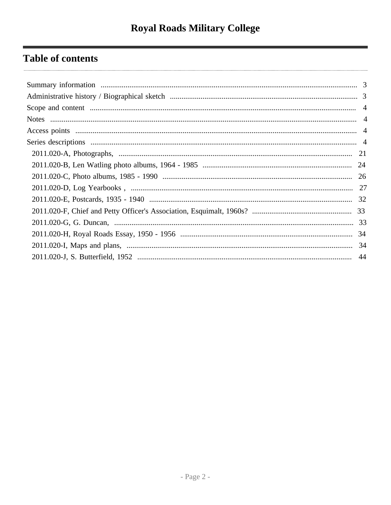## **Table of contents**

| 33 |
|----|
|    |
|    |
|    |
|    |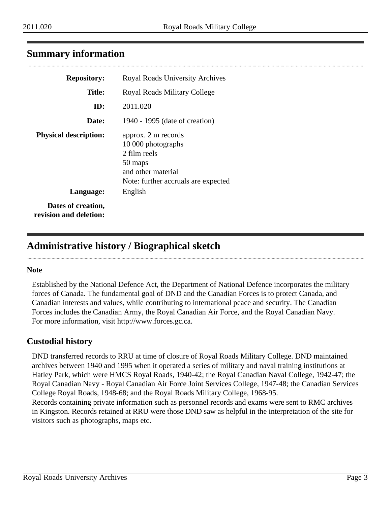## <span id="page-2-0"></span>**Summary information**

| <b>Repository:</b>                           | <b>Royal Roads University Archives</b>                                                                                            |
|----------------------------------------------|-----------------------------------------------------------------------------------------------------------------------------------|
| <b>Title:</b>                                | Royal Roads Military College                                                                                                      |
| ID:                                          | 2011.020                                                                                                                          |
| Date:                                        | 1940 - 1995 (date of creation)                                                                                                    |
| <b>Physical description:</b>                 | approx. 2 m records<br>10 000 photographs<br>2 film reels<br>50 maps<br>and other material<br>Note: further accruals are expected |
| Language:                                    | English                                                                                                                           |
| Dates of creation,<br>revision and deletion: |                                                                                                                                   |

## <span id="page-2-1"></span>**Administrative history / Biographical sketch**

### **Note**

Established by the National Defence Act, the Department of National Defence incorporates the military forces of Canada. The fundamental goal of DND and the Canadian Forces is to protect Canada, and Canadian interests and values, while contributing to international peace and security. The Canadian Forces includes the Canadian Army, the Royal Canadian Air Force, and the Royal Canadian Navy. For more information, visit http://www.forces.gc.ca.

## **Custodial history**

DND transferred records to RRU at time of closure of Royal Roads Military College. DND maintained archives between 1940 and 1995 when it operated a series of military and naval training institutions at Hatley Park, which were HMCS Royal Roads, 1940-42; the Royal Canadian Naval College, 1942-47; the Royal Canadian Navy - Royal Canadian Air Force Joint Services College, 1947-48; the Canadian Services College Royal Roads, 1948-68; and the Royal Roads Military College, 1968-95.

Records containing private information such as personnel records and exams were sent to RMC archives in Kingston. Records retained at RRU were those DND saw as helpful in the interpretation of the site for visitors such as photographs, maps etc.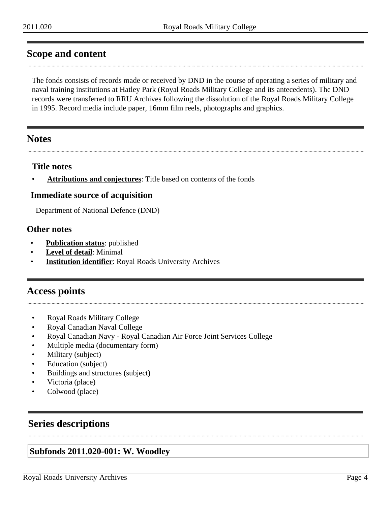## <span id="page-3-0"></span>**Scope and content**

The fonds consists of records made or received by DND in the course of operating a series of military and naval training institutions at Hatley Park (Royal Roads Military College and its antecedents). The DND records were transferred to RRU Archives following the dissolution of the Royal Roads Military College in 1995. Record media include paper, 16mm film reels, photographs and graphics.

## <span id="page-3-1"></span>**Notes**

### **Title notes**

• **Attributions and conjectures**: Title based on contents of the fonds

### **Immediate source of acquisition**

Department of National Defence (DND)

### **Other notes**

- **Publication status:** published
- **Level of detail**: Minimal
- **Institution identifier:** Royal Roads University Archives

## <span id="page-3-2"></span>**Access points**

- Royal Roads Military College
- Royal Canadian Naval College
- Royal Canadian Navy Royal Canadian Air Force Joint Services College
- Multiple media (documentary form)
- Military (subject)
- Education (subject)
- Buildings and structures (subject)
- Victoria (place)
- Colwood (place)

## <span id="page-3-3"></span>**Series descriptions**

### **Subfonds 2011.020-001: W. Woodley**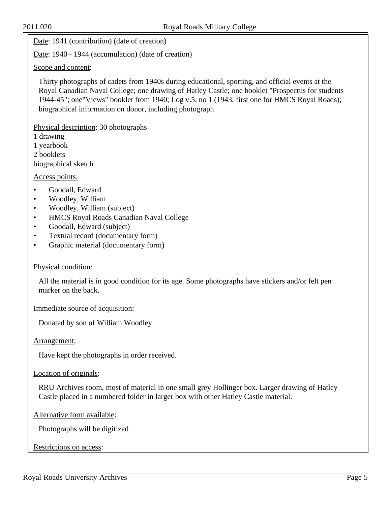Date: 1941 (contribution) (date of creation)

Date: 1940 - 1944 (accumulation) (date of creation)

Scope and content:

Thirty photographs of cadets from 1940s during educational, sporting, and official events at the Royal Canadian Naval College; one drawing of Hatley Castle; one booklet "Prospectus for students 1944-45"; one"Views" booklet from 1940; Log v.5, no 1 (1943, first one for HMCS Royal Roads); biographical information on donor, including photograph

Physical description: 30 photographs

1 drawing

1 yearbook

2 booklets

biographical sketch

Access points:

- Goodall, Edward
- Woodley, William
- Woodley, William (subject)
- HMCS Royal Roads Canadian Naval College
- Goodall, Edward (subject)
- Textual record (documentary form)
- Graphic material (documentary form)

#### Physical condition:

All the material is in good condition for its age. Some photographs have stickers and/or felt pen marker on the back.

Immediate source of acquisition:

Donated by son of William Woodley

Arrangement:

Have kept the photographs in order received.

#### Location of originals:

RRU Archives room, most of material in one small grey Hollinger box. Larger drawing of Hatley Castle placed in a numbered folder in larger box with other Hatley Castle material.

Alternative form available:

Photographs will be digitized

Restrictions on access: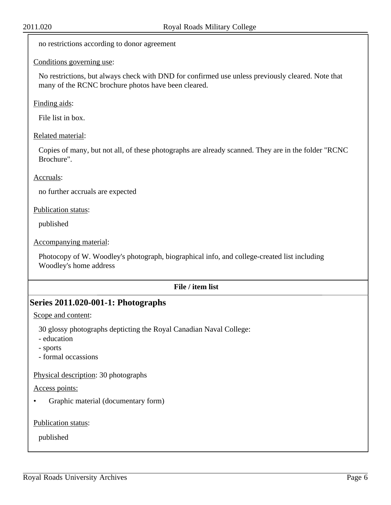no restrictions according to donor agreement

#### Conditions governing use:

No restrictions, but always check with DND for confirmed use unless previously cleared. Note that many of the RCNC brochure photos have been cleared.

#### Finding aids:

File list in box.

#### Related material:

Copies of many, but not all, of these photographs are already scanned. They are in the folder "RCNC Brochure".

#### Accruals:

no further accruals are expected

Publication status:

published

Accompanying material:

Photocopy of W. Woodley's photograph, biographical info, and college-created list including Woodley's home address

#### **File / item list**

#### **Series 2011.020-001-1: Photographs**

Scope and content:

30 glossy photographs depticting the Royal Canadian Naval College:

- education
- sports
- formal occassions

Physical description: 30 photographs

#### Access points:

• Graphic material (documentary form)

Publication status: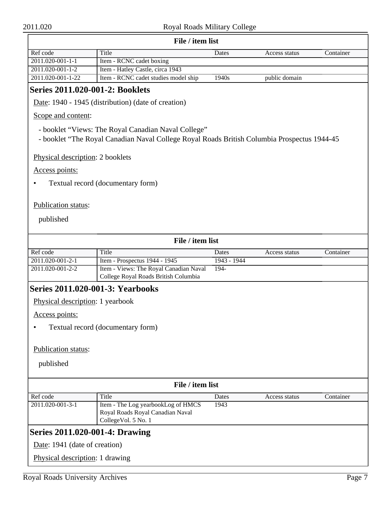| Title<br>Container<br>Dates<br>Access status<br>Item - RCNC cadet boxing<br>2011.020-001-1-2<br>Item - Hatley Castle, circa 1943<br>Item - RCNC cadet studies model ship<br>2011.020-001-1-22<br>$\overline{1940s}$<br>public domain<br>Series 2011.020-001-2: Booklets<br>Date: 1940 - 1945 (distribution) (date of creation)<br>Scope and content:<br>- booklet "Views: The Royal Canadian Naval College"<br>- booklet "The Royal Canadian Naval College Royal Roads British Columbia Prospectus 1944-45<br>Physical description: 2 booklets<br>Access points:<br>Textual record (documentary form)<br>Publication status:<br>published<br>File / item list<br>Title<br>Container<br>Dates<br>Access status<br>Item - Prospectus 1944 - 1945<br>2011.020-001-2-1<br>1943 - 1944<br>Item - Views: The Royal Canadian Naval<br>2011.020-001-2-2<br>194-<br>College Royal Roads British Columbia<br>Series 2011.020-001-3: Yearbooks<br>Physical description: 1 yearbook<br>Access points:<br>Textual record (documentary form)<br>Publication status:<br>published<br>File / item list<br>Title<br>Container<br>Dates<br>Access status<br>Item - The Log yearbookLog of HMCS<br>1943<br>Royal Roads Royal Canadian Naval<br>CollegeVol. 5 No. 1<br><b>Series 2011.020-001-4: Drawing</b><br>Date: 1941 (date of creation)<br>Physical description: 1 drawing | File / item list |  |  |  |  |  |
|--------------------------------------------------------------------------------------------------------------------------------------------------------------------------------------------------------------------------------------------------------------------------------------------------------------------------------------------------------------------------------------------------------------------------------------------------------------------------------------------------------------------------------------------------------------------------------------------------------------------------------------------------------------------------------------------------------------------------------------------------------------------------------------------------------------------------------------------------------------------------------------------------------------------------------------------------------------------------------------------------------------------------------------------------------------------------------------------------------------------------------------------------------------------------------------------------------------------------------------------------------------------------------------------------------------------------------------------------------------|------------------|--|--|--|--|--|
|                                                                                                                                                                                                                                                                                                                                                                                                                                                                                                                                                                                                                                                                                                                                                                                                                                                                                                                                                                                                                                                                                                                                                                                                                                                                                                                                                              | Ref code         |  |  |  |  |  |
|                                                                                                                                                                                                                                                                                                                                                                                                                                                                                                                                                                                                                                                                                                                                                                                                                                                                                                                                                                                                                                                                                                                                                                                                                                                                                                                                                              | 2011.020-001-1-1 |  |  |  |  |  |
|                                                                                                                                                                                                                                                                                                                                                                                                                                                                                                                                                                                                                                                                                                                                                                                                                                                                                                                                                                                                                                                                                                                                                                                                                                                                                                                                                              |                  |  |  |  |  |  |
|                                                                                                                                                                                                                                                                                                                                                                                                                                                                                                                                                                                                                                                                                                                                                                                                                                                                                                                                                                                                                                                                                                                                                                                                                                                                                                                                                              |                  |  |  |  |  |  |
|                                                                                                                                                                                                                                                                                                                                                                                                                                                                                                                                                                                                                                                                                                                                                                                                                                                                                                                                                                                                                                                                                                                                                                                                                                                                                                                                                              |                  |  |  |  |  |  |
|                                                                                                                                                                                                                                                                                                                                                                                                                                                                                                                                                                                                                                                                                                                                                                                                                                                                                                                                                                                                                                                                                                                                                                                                                                                                                                                                                              |                  |  |  |  |  |  |
|                                                                                                                                                                                                                                                                                                                                                                                                                                                                                                                                                                                                                                                                                                                                                                                                                                                                                                                                                                                                                                                                                                                                                                                                                                                                                                                                                              |                  |  |  |  |  |  |
|                                                                                                                                                                                                                                                                                                                                                                                                                                                                                                                                                                                                                                                                                                                                                                                                                                                                                                                                                                                                                                                                                                                                                                                                                                                                                                                                                              |                  |  |  |  |  |  |
|                                                                                                                                                                                                                                                                                                                                                                                                                                                                                                                                                                                                                                                                                                                                                                                                                                                                                                                                                                                                                                                                                                                                                                                                                                                                                                                                                              |                  |  |  |  |  |  |
|                                                                                                                                                                                                                                                                                                                                                                                                                                                                                                                                                                                                                                                                                                                                                                                                                                                                                                                                                                                                                                                                                                                                                                                                                                                                                                                                                              |                  |  |  |  |  |  |
|                                                                                                                                                                                                                                                                                                                                                                                                                                                                                                                                                                                                                                                                                                                                                                                                                                                                                                                                                                                                                                                                                                                                                                                                                                                                                                                                                              |                  |  |  |  |  |  |
|                                                                                                                                                                                                                                                                                                                                                                                                                                                                                                                                                                                                                                                                                                                                                                                                                                                                                                                                                                                                                                                                                                                                                                                                                                                                                                                                                              |                  |  |  |  |  |  |
|                                                                                                                                                                                                                                                                                                                                                                                                                                                                                                                                                                                                                                                                                                                                                                                                                                                                                                                                                                                                                                                                                                                                                                                                                                                                                                                                                              |                  |  |  |  |  |  |
|                                                                                                                                                                                                                                                                                                                                                                                                                                                                                                                                                                                                                                                                                                                                                                                                                                                                                                                                                                                                                                                                                                                                                                                                                                                                                                                                                              |                  |  |  |  |  |  |
|                                                                                                                                                                                                                                                                                                                                                                                                                                                                                                                                                                                                                                                                                                                                                                                                                                                                                                                                                                                                                                                                                                                                                                                                                                                                                                                                                              |                  |  |  |  |  |  |
|                                                                                                                                                                                                                                                                                                                                                                                                                                                                                                                                                                                                                                                                                                                                                                                                                                                                                                                                                                                                                                                                                                                                                                                                                                                                                                                                                              | Ref code         |  |  |  |  |  |
|                                                                                                                                                                                                                                                                                                                                                                                                                                                                                                                                                                                                                                                                                                                                                                                                                                                                                                                                                                                                                                                                                                                                                                                                                                                                                                                                                              |                  |  |  |  |  |  |
|                                                                                                                                                                                                                                                                                                                                                                                                                                                                                                                                                                                                                                                                                                                                                                                                                                                                                                                                                                                                                                                                                                                                                                                                                                                                                                                                                              |                  |  |  |  |  |  |
|                                                                                                                                                                                                                                                                                                                                                                                                                                                                                                                                                                                                                                                                                                                                                                                                                                                                                                                                                                                                                                                                                                                                                                                                                                                                                                                                                              |                  |  |  |  |  |  |
|                                                                                                                                                                                                                                                                                                                                                                                                                                                                                                                                                                                                                                                                                                                                                                                                                                                                                                                                                                                                                                                                                                                                                                                                                                                                                                                                                              |                  |  |  |  |  |  |
|                                                                                                                                                                                                                                                                                                                                                                                                                                                                                                                                                                                                                                                                                                                                                                                                                                                                                                                                                                                                                                                                                                                                                                                                                                                                                                                                                              |                  |  |  |  |  |  |
|                                                                                                                                                                                                                                                                                                                                                                                                                                                                                                                                                                                                                                                                                                                                                                                                                                                                                                                                                                                                                                                                                                                                                                                                                                                                                                                                                              |                  |  |  |  |  |  |
|                                                                                                                                                                                                                                                                                                                                                                                                                                                                                                                                                                                                                                                                                                                                                                                                                                                                                                                                                                                                                                                                                                                                                                                                                                                                                                                                                              |                  |  |  |  |  |  |
|                                                                                                                                                                                                                                                                                                                                                                                                                                                                                                                                                                                                                                                                                                                                                                                                                                                                                                                                                                                                                                                                                                                                                                                                                                                                                                                                                              |                  |  |  |  |  |  |
|                                                                                                                                                                                                                                                                                                                                                                                                                                                                                                                                                                                                                                                                                                                                                                                                                                                                                                                                                                                                                                                                                                                                                                                                                                                                                                                                                              |                  |  |  |  |  |  |
|                                                                                                                                                                                                                                                                                                                                                                                                                                                                                                                                                                                                                                                                                                                                                                                                                                                                                                                                                                                                                                                                                                                                                                                                                                                                                                                                                              |                  |  |  |  |  |  |
|                                                                                                                                                                                                                                                                                                                                                                                                                                                                                                                                                                                                                                                                                                                                                                                                                                                                                                                                                                                                                                                                                                                                                                                                                                                                                                                                                              |                  |  |  |  |  |  |
|                                                                                                                                                                                                                                                                                                                                                                                                                                                                                                                                                                                                                                                                                                                                                                                                                                                                                                                                                                                                                                                                                                                                                                                                                                                                                                                                                              | Ref code         |  |  |  |  |  |
|                                                                                                                                                                                                                                                                                                                                                                                                                                                                                                                                                                                                                                                                                                                                                                                                                                                                                                                                                                                                                                                                                                                                                                                                                                                                                                                                                              | 2011.020-001-3-1 |  |  |  |  |  |
|                                                                                                                                                                                                                                                                                                                                                                                                                                                                                                                                                                                                                                                                                                                                                                                                                                                                                                                                                                                                                                                                                                                                                                                                                                                                                                                                                              |                  |  |  |  |  |  |
|                                                                                                                                                                                                                                                                                                                                                                                                                                                                                                                                                                                                                                                                                                                                                                                                                                                                                                                                                                                                                                                                                                                                                                                                                                                                                                                                                              |                  |  |  |  |  |  |
|                                                                                                                                                                                                                                                                                                                                                                                                                                                                                                                                                                                                                                                                                                                                                                                                                                                                                                                                                                                                                                                                                                                                                                                                                                                                                                                                                              |                  |  |  |  |  |  |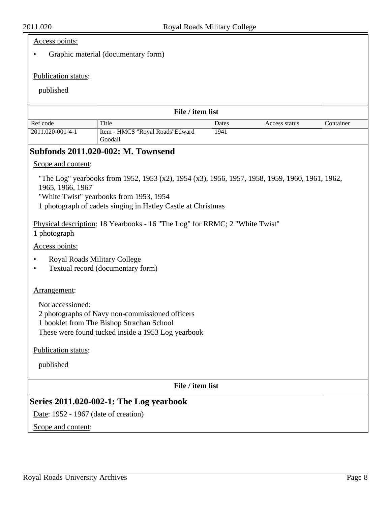## Access points:

• Graphic material (documentary form)

## Publication status:

| File / item list                                                                                                                                                       |                                                                                                                                                                                                                                                                                                              |       |               |           |  |  |
|------------------------------------------------------------------------------------------------------------------------------------------------------------------------|--------------------------------------------------------------------------------------------------------------------------------------------------------------------------------------------------------------------------------------------------------------------------------------------------------------|-------|---------------|-----------|--|--|
| Ref code                                                                                                                                                               | Title                                                                                                                                                                                                                                                                                                        | Dates | Access status | Container |  |  |
| 2011.020-001-4-1                                                                                                                                                       | Item - HMCS "Royal Roads"Edward<br>Goodall                                                                                                                                                                                                                                                                   | 1941  |               |           |  |  |
|                                                                                                                                                                        | <b>Subfonds 2011.020-002: M. Townsend</b>                                                                                                                                                                                                                                                                    |       |               |           |  |  |
| Scope and content:                                                                                                                                                     |                                                                                                                                                                                                                                                                                                              |       |               |           |  |  |
| 1 photograph                                                                                                                                                           | "The Log" yearbooks from 1952, 1953 (x2), 1954 (x3), 1956, 1957, 1958, 1959, 1960, 1961, 1962,<br>1965, 1966, 1967<br>"White Twist" yearbooks from 1953, 1954<br>1 photograph of cadets singing in Hatley Castle at Christmas<br>Physical description: 18 Yearbooks - 16 "The Log" for RRMC; 2 "White Twist" |       |               |           |  |  |
| Access points:                                                                                                                                                         |                                                                                                                                                                                                                                                                                                              |       |               |           |  |  |
|                                                                                                                                                                        | Royal Roads Military College<br>Textual record (documentary form)                                                                                                                                                                                                                                            |       |               |           |  |  |
| Arrangement:                                                                                                                                                           |                                                                                                                                                                                                                                                                                                              |       |               |           |  |  |
| Not accessioned:<br>2 photographs of Navy non-commissioned officers<br>1 booklet from The Bishop Strachan School<br>These were found tucked inside a 1953 Log yearbook |                                                                                                                                                                                                                                                                                                              |       |               |           |  |  |
| Publication status:                                                                                                                                                    |                                                                                                                                                                                                                                                                                                              |       |               |           |  |  |
| published                                                                                                                                                              |                                                                                                                                                                                                                                                                                                              |       |               |           |  |  |
| File / item list                                                                                                                                                       |                                                                                                                                                                                                                                                                                                              |       |               |           |  |  |
| <b>Series 2011.020-002-1: The Log yearbook</b>                                                                                                                         |                                                                                                                                                                                                                                                                                                              |       |               |           |  |  |
| Date: 1952 - 1967 (date of creation)                                                                                                                                   |                                                                                                                                                                                                                                                                                                              |       |               |           |  |  |
| Scope and content:                                                                                                                                                     |                                                                                                                                                                                                                                                                                                              |       |               |           |  |  |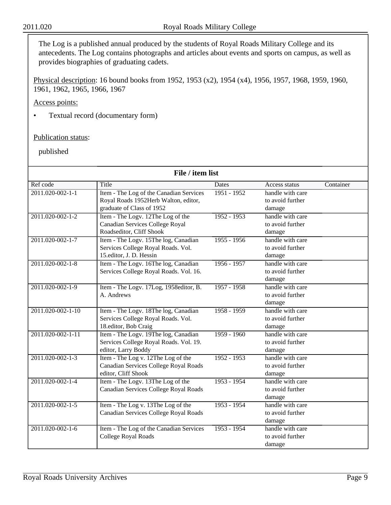The Log is a published annual produced by the students of Royal Roads Military College and its antecedents. The Log contains photographs and articles about events and sports on campus, as well as provides biographies of graduating cadets.

Physical description: 16 bound books from 1952, 1953 (x2), 1954 (x4), 1956, 1957, 1968, 1959, 1960, 1961, 1962, 1965, 1966, 1967

Access points:

• Textual record (documentary form)

Publication status:

| File / item list  |                                         |               |                  |           |  |
|-------------------|-----------------------------------------|---------------|------------------|-----------|--|
| Ref code          | Title                                   | <b>Dates</b>  | Access status    | Container |  |
| 2011.020-002-1-1  | Item - The Log of the Canadian Services | $1951 - 1952$ | handle with care |           |  |
|                   | Royal Roads 1952Herb Walton, editor,    |               | to avoid further |           |  |
|                   | graduate of Class of 1952               |               | damage           |           |  |
| 2011.020-002-1-2  | Item - The Logy. 12The Log of the       | $1952 - 1953$ | handle with care |           |  |
|                   | Canadian Services College Royal         |               | to avoid further |           |  |
|                   | Roadseditor, Cliff Shook                |               | damage           |           |  |
| 2011.020-002-1-7  | Item - The Logy. 15The log, Canadian    | $1955 - 1956$ | handle with care |           |  |
|                   | Services College Royal Roads. Vol.      |               | to avoid further |           |  |
|                   | 15.editor, J. D. Hessin                 |               | damage           |           |  |
| 2011.020-002-1-8  | Item - The Logy. 16The log, Canadian    | $1956 - 1957$ | handle with care |           |  |
|                   | Services College Royal Roads. Vol. 16.  |               | to avoid further |           |  |
|                   |                                         |               | damage           |           |  |
| 2011.020-002-1-9  | Item - The Logv. 17Log, 1958editor, B.  | $1957 - 1958$ | handle with care |           |  |
|                   | A. Andrews                              |               | to avoid further |           |  |
|                   |                                         |               | damage           |           |  |
| 2011.020-002-1-10 | Item - The Logv. 18The log, Canadian    | $1958 - 1959$ | handle with care |           |  |
|                   | Services College Royal Roads. Vol.      |               | to avoid further |           |  |
|                   | 18.editor, Bob Craig                    |               | damage           |           |  |
| 2011.020-002-1-11 | Item - The Logy. 19The log, Canadian    | $1959 - 1960$ | handle with care |           |  |
|                   | Services College Royal Roads. Vol. 19.  |               | to avoid further |           |  |
|                   | editor, Larry Boddy                     |               | damage           |           |  |
| 2011.020-002-1-3  | Item - The Log v. 12The Log of the      | $1952 - 1953$ | handle with care |           |  |
|                   | Canadian Services College Royal Roads   |               | to avoid further |           |  |
|                   | editor, Cliff Shook                     |               | damage           |           |  |
| 2011.020-002-1-4  | Item - The Logy. 13The Log of the       | $1953 - 1954$ | handle with care |           |  |
|                   | Canadian Services College Royal Roads   |               | to avoid further |           |  |
|                   |                                         |               | damage           |           |  |
| 2011.020-002-1-5  | Item - The Log v. 13The Log of the      | $1953 - 1954$ | handle with care |           |  |
|                   | Canadian Services College Royal Roads   |               | to avoid further |           |  |
|                   |                                         |               | damage           |           |  |
| 2011.020-002-1-6  | Item - The Log of the Canadian Services | $1953 - 1954$ | handle with care |           |  |
|                   | <b>College Royal Roads</b>              |               | to avoid further |           |  |
|                   |                                         |               | damage           |           |  |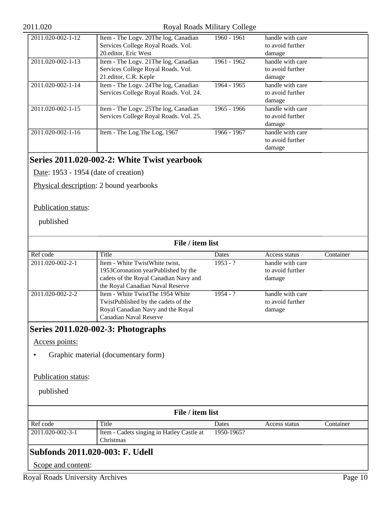#### 2011.020 Royal Roads Military College

| 2011.020-002-1-12 | Item - The Logy. 20The log, Canadian   | 1960 - 1961 | handle with care |
|-------------------|----------------------------------------|-------------|------------------|
|                   | Services College Royal Roads. Vol.     |             | to avoid further |
|                   | 20. editor, Eric West                  |             | damage           |
| 2011.020-002-1-13 | Item - The Logy. 21 The log, Canadian  | 1961 - 1962 | handle with care |
|                   | Services College Royal Roads. Vol.     |             | to avoid further |
|                   | 21. editor, C.R. Keple                 |             | damage           |
| 2011.020-002-1-14 | Item - The Logy. 24The log, Canadian   | 1964 - 1965 | handle with care |
|                   | Services College Royal Roads. Vol. 24. |             | to avoid further |
|                   |                                        |             | damage           |
| 2011.020-002-1-15 | Item - The Logy. 25The log, Canadian   | 1965 - 1966 | handle with care |
|                   | Services College Royal Roads. Vol. 25. |             | to avoid further |
|                   |                                        |             | damage           |
| 2011.020-002-1-16 | Item - The Log. The Log, 1967          | 1966 - 1967 | handle with care |
|                   |                                        |             | to avoid further |
|                   |                                        |             | damage           |

## **Series 2011.020-002-2: White Twist yearbook**

Date: 1953 - 1954 (date of creation)

Physical description: 2 bound yearbooks

#### Publication status:

published

| File / item list |                                                                                                                                                    |            |                                                |           |  |
|------------------|----------------------------------------------------------------------------------------------------------------------------------------------------|------------|------------------------------------------------|-----------|--|
| Ref code         | Title                                                                                                                                              | Dates      | Access status                                  | Container |  |
| 2011.020-002-2-1 | Item - White TwistWhite twist,<br>1953Coronation yearPublished by the<br>cadets of the Royal Canadian Navy and<br>the Royal Canadian Naval Reserve | $1953 - ?$ | handle with care<br>to avoid further<br>damage |           |  |
| 2011.020-002-2-2 | Item - White TwistThe 1954 White<br>TwistPublished by the cadets of the<br>Royal Canadian Navy and the Royal<br>Canadian Naval Reserve             | $1954 - ?$ | handle with care<br>to avoid further<br>damage |           |  |

## **Series 2011.020-002-3: Photographs**

Access points:

• Graphic material (documentary form)

#### Publication status:

published

| File / item list                |                                                        |            |               |           |  |  |
|---------------------------------|--------------------------------------------------------|------------|---------------|-----------|--|--|
| Ref code                        | Title                                                  | Dates      | Access status | Container |  |  |
| 2011.020-002-3-1                | Item - Cadets singing in Hatley Castle at<br>Christmas | 1950-1965? |               |           |  |  |
| Subfonds 2011.020-003: F. Udell |                                                        |            |               |           |  |  |

Scope and content: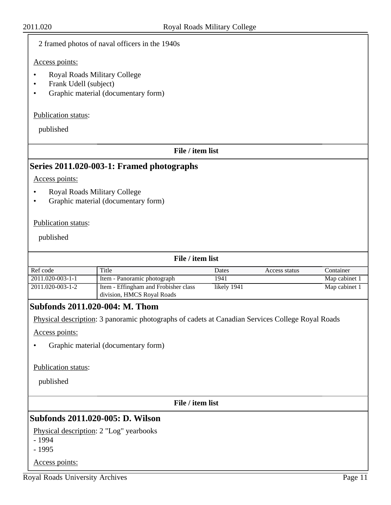| 2011.020                           |                                                                                                  | Royal Roads Military College |               |               |
|------------------------------------|--------------------------------------------------------------------------------------------------|------------------------------|---------------|---------------|
|                                    | 2 framed photos of naval officers in the 1940s                                                   |                              |               |               |
| Access points:                     |                                                                                                  |                              |               |               |
| Frank Udell (subject)<br>$\bullet$ | <b>Royal Roads Military College</b><br>Graphic material (documentary form)                       |                              |               |               |
| Publication status:                |                                                                                                  |                              |               |               |
| published                          |                                                                                                  |                              |               |               |
|                                    | File / item list                                                                                 |                              |               |               |
|                                    | Series 2011.020-003-1: Framed photographs                                                        |                              |               |               |
| Access points:                     |                                                                                                  |                              |               |               |
|                                    |                                                                                                  |                              |               |               |
| ٠                                  | <b>Royal Roads Military College</b><br>Graphic material (documentary form)                       |                              |               |               |
|                                    |                                                                                                  |                              |               |               |
| Publication status:                |                                                                                                  |                              |               |               |
|                                    |                                                                                                  |                              |               |               |
| published                          |                                                                                                  |                              |               |               |
|                                    | File / item list                                                                                 |                              |               |               |
| Ref code                           | Title                                                                                            | Dates                        | Access status | Container     |
| 2011.020-003-1-1                   | Item - Panoramic photograph                                                                      | 1941                         |               | Map cabinet 1 |
| 2011.020-003-1-2                   | Item - Effingham and Frobisher class<br>division, HMCS Royal Roads                               | likely 1941                  |               | Map cabinet 1 |
|                                    | Subfonds 2011.020-004: M. Thom                                                                   |                              |               |               |
|                                    | Physical description: 3 panoramic photographs of cadets at Canadian Services College Royal Roads |                              |               |               |
| Access points:                     |                                                                                                  |                              |               |               |
|                                    |                                                                                                  |                              |               |               |
|                                    | Graphic material (documentary form)                                                              |                              |               |               |
| Publication status:                |                                                                                                  |                              |               |               |
| published                          |                                                                                                  |                              |               |               |
|                                    |                                                                                                  |                              |               |               |
|                                    | File / item list                                                                                 |                              |               |               |
|                                    | Subfonds 2011.020-005: D. Wilson                                                                 |                              |               |               |
|                                    | Physical description: 2 "Log" yearbooks                                                          |                              |               |               |
| $-1994$                            |                                                                                                  |                              |               |               |
| $-1995$                            |                                                                                                  |                              |               |               |
| Access points:                     |                                                                                                  |                              |               |               |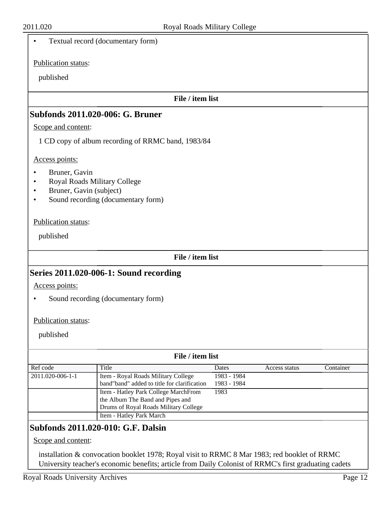|                                                                          | $\log a$ roads $\log a$                                                                                           |                     |               |           |
|--------------------------------------------------------------------------|-------------------------------------------------------------------------------------------------------------------|---------------------|---------------|-----------|
| $\bullet$                                                                | Textual record (documentary form)                                                                                 |                     |               |           |
| Publication status:                                                      |                                                                                                                   |                     |               |           |
| published                                                                |                                                                                                                   |                     |               |           |
|                                                                          | File / item list                                                                                                  |                     |               |           |
|                                                                          | <b>Subfonds 2011.020-006: G. Bruner</b>                                                                           |                     |               |           |
| Scope and content:                                                       |                                                                                                                   |                     |               |           |
|                                                                          | 1 CD copy of album recording of RRMC band, 1983/84                                                                |                     |               |           |
| Access points:                                                           |                                                                                                                   |                     |               |           |
| Bruner, Gavin<br>Royal Roads Military College<br>Bruner, Gavin (subject) | Sound recording (documentary form)                                                                                |                     |               |           |
| Publication status:                                                      |                                                                                                                   |                     |               |           |
| published                                                                |                                                                                                                   |                     |               |           |
|                                                                          | File / item list                                                                                                  |                     |               |           |
|                                                                          | Series 2011.020-006-1: Sound recording                                                                            |                     |               |           |
| Access points:                                                           |                                                                                                                   |                     |               |           |
|                                                                          | Sound recording (documentary form)                                                                                |                     |               |           |
| Publication status:                                                      |                                                                                                                   |                     |               |           |
|                                                                          |                                                                                                                   |                     |               |           |
| published                                                                |                                                                                                                   |                     |               |           |
|                                                                          | File / item list                                                                                                  |                     |               |           |
| Ref code                                                                 | Title                                                                                                             | Dates               | Access status | Container |
| 2011.020-006-1-1                                                         | Item - Royal Roads Military College<br>band"band" added to title for clarification                                | 1983 - 1984         |               |           |
|                                                                          | Item - Hatley Park College MarchFrom<br>the Album The Band and Pipes and<br>Drums of Royal Roads Military College | 1983 - 1984<br>1983 |               |           |
|                                                                          | Item - Hatley Park March                                                                                          |                     |               |           |
|                                                                          | Subfonds 2011.020-010: G.F. Dalsin                                                                                |                     |               |           |

## Scope and content:

installation & convocation booklet 1978; Royal visit to RRMC 8 Mar 1983; red booklet of RRMC University teacher's economic benefits; article from Daily Colonist of RRMC's first graduating cadets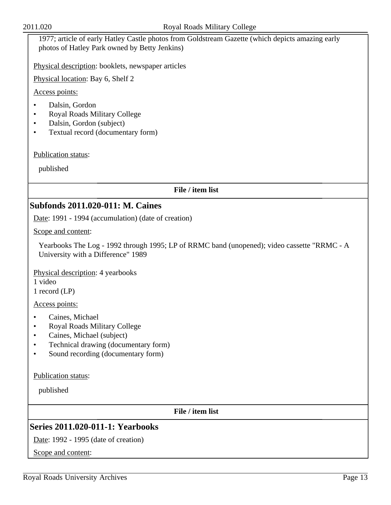1977; article of early Hatley Castle photos from Goldstream Gazette (which depicts amazing early photos of Hatley Park owned by Betty Jenkins)

Physical description: booklets, newspaper articles

Physical location: Bay 6, Shelf 2

Access points:

- Dalsin, Gordon
- Royal Roads Military College
- Dalsin, Gordon (subject)
- Textual record (documentary form)

Publication status:

published

#### **File / item list**

### **Subfonds 2011.020-011: M. Caines**

Date: 1991 - 1994 (accumulation) (date of creation)

Scope and content:

Yearbooks The Log - 1992 through 1995; LP of RRMC band (unopened); video cassette "RRMC - A University with a Difference" 1989

Physical description: 4 yearbooks

1 video

1 record (LP)

Access points:

- Caines, Michael
- Royal Roads Military College
- Caines, Michael (subject)
- Technical drawing (documentary form)
- Sound recording (documentary form)

Publication status:

published

**File / item list**

## **Series 2011.020-011-1: Yearbooks**

Date: 1992 - 1995 (date of creation)

Scope and content: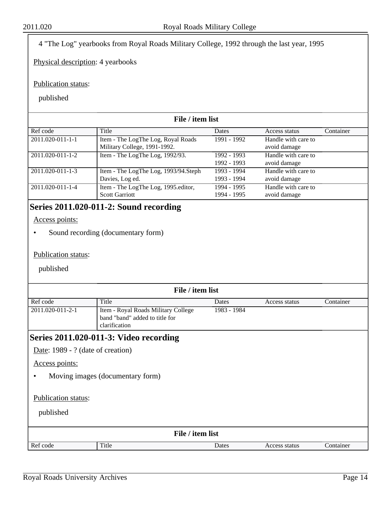4 "The Log" yearbooks from Royal Roads Military College, 1992 through the last year, 1995

Physical description: 4 yearbooks

Publication status:

published

#### **File / item list** Ref code Title Ref code Ref and Title Dates Access status Container 2011.020-011-1-1 | Item - The LogThe Log, Royal Roads Military College, 1991-1992. 1991 - 1992 Handle with care to avoid damage 2011.020-011-1-2 **I** Item - The LogThe Log, 1992/93. 1992 - 1993 1992 - 1993 Handle with care to avoid damage 2011.020-011-1-3 **I** Item - The LogThe Log, 1993/94.Steph Davies, Log ed. 1993 - 1994 1993 - 1994 Handle with care to avoid damage 2011.020-011-1-4 Item - The LogThe Log, 1995.editor, Scott Garriott 1994 - 1995 1994 - 1995 Handle with care to avoid damage

## **Series 2011.020-011-2: Sound recording**

Access points:

• Sound recording (documentary form)

#### Publication status:

|                                   | File / item list                       |             |               |           |  |
|-----------------------------------|----------------------------------------|-------------|---------------|-----------|--|
| Ref code                          | Title                                  | Dates       | Access status | Container |  |
| 2011.020-011-2-1                  | Item - Royal Roads Military College    | 1983 - 1984 |               |           |  |
|                                   | band "band" added to title for         |             |               |           |  |
|                                   | clarification                          |             |               |           |  |
|                                   | Series 2011.020-011-3: Video recording |             |               |           |  |
| Date: 1989 - ? (date of creation) |                                        |             |               |           |  |
| Access points:                    |                                        |             |               |           |  |
|                                   | Moving images (documentary form)       |             |               |           |  |
|                                   |                                        |             |               |           |  |
| Publication status:               |                                        |             |               |           |  |
| published                         |                                        |             |               |           |  |
|                                   |                                        |             |               |           |  |
| File / item list                  |                                        |             |               |           |  |
| Ref code                          | Title                                  | Dates       | Access status | Container |  |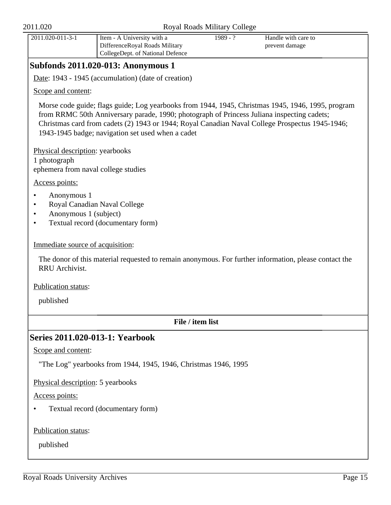| $2011.020 - 011 - 3 - 1$ | I Item - A University with a     | ' - 1989 | Handle with care to |
|--------------------------|----------------------------------|----------|---------------------|
|                          | DifferenceRoyal Roads Military   |          | prevent damage      |
|                          | CollegeDept. of National Defence |          |                     |
|                          |                                  |          |                     |

## **Subfonds 2011.020-013: Anonymous 1**

Date: 1943 - 1945 (accumulation) (date of creation)

Scope and content:

Morse code guide; flags guide; Log yearbooks from 1944, 1945, Christmas 1945, 1946, 1995, program from RRMC 50th Anniversary parade, 1990; photograph of Princess Juliana inspecting cadets; Christmas card from cadets (2) 1943 or 1944; Royal Canadian Naval College Prospectus 1945-1946; 1943-1945 badge; navigation set used when a cadet

Physical description: yearbooks 1 photograph ephemera from naval college studies

Access points:

- Anonymous 1
- Royal Canadian Naval College
- Anonymous 1 (subject)
- Textual record (documentary form)

#### Immediate source of acquisition:

The donor of this material requested to remain anonymous. For further information, please contact the RRU Archivist.

Publication status:

published

#### **File / item list**

## **Series 2011.020-013-1: Yearbook**

Scope and content:

"The Log" yearbooks from 1944, 1945, 1946, Christmas 1946, 1995

Physical description: 5 yearbooks

Access points:

• Textual record (documentary form)

Publication status: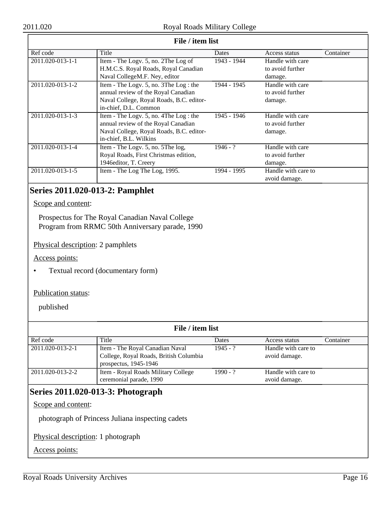| File / item list |                                          |             |                     |           |  |
|------------------|------------------------------------------|-------------|---------------------|-----------|--|
| Ref code         | Title                                    | Dates       | Access status       | Container |  |
| 2011.020-013-1-1 | Item - The Logy. 5, no. 2The Log of      | 1943 - 1944 | Handle with care    |           |  |
|                  | H.M.C.S. Royal Roads, Royal Canadian     |             | to avoid further    |           |  |
|                  | Naval CollegeM.F. Ney, editor            |             | damage.             |           |  |
| 2011.020-013-1-2 | Item - The Logy. 5, no. 3The Log : the   | 1944 - 1945 | Handle with care    |           |  |
|                  | annual review of the Royal Canadian      |             | to avoid further    |           |  |
|                  | Naval College, Royal Roads, B.C. editor- |             | damage.             |           |  |
|                  | in-chief, D.L. Common                    |             |                     |           |  |
| 2011.020-013-1-3 | Item - The Logy. 5, no. 4The Log : the   | 1945 - 1946 | Handle with care    |           |  |
|                  | annual review of the Royal Canadian      |             | to avoid further    |           |  |
|                  | Naval College, Royal Roads, B.C. editor- |             | damage.             |           |  |
|                  | in-chief, B.L. Wilkins                   |             |                     |           |  |
| 2011.020-013-1-4 | Item - The Logy. 5, no. 5The log,        | $1946 - ?$  | Handle with care    |           |  |
|                  | Royal Roads, First Christmas edition,    |             | to avoid further    |           |  |
|                  | 1946editor, T. Creery                    |             | damage.             |           |  |
| 2011.020-013-1-5 | Item - The Log The Log, 1995.            | 1994 - 1995 | Handle with care to |           |  |
|                  |                                          |             | avoid damage.       |           |  |

## **Series 2011.020-013-2: Pamphlet**

Scope and content:

Prospectus for The Royal Canadian Naval College Program from RRMC 50th Anniversary parade, 1990

Physical description: 2 pamphlets

Access points:

• Textual record (documentary form)

#### Publication status:

published

| File / item list |                                                                           |            |                                      |           |  |
|------------------|---------------------------------------------------------------------------|------------|--------------------------------------|-----------|--|
| Ref code         | Title                                                                     | Dates      | Access status                        | Container |  |
| 2011.020-013-2-1 | Item - The Royal Canadian Naval<br>College, Royal Roads, British Columbia | $1945 - ?$ | Handle with care to<br>avoid damage. |           |  |
|                  | prospectus, 1945-1946                                                     |            |                                      |           |  |
| 2011.020-013-2-2 | Item - Royal Roads Military College<br>ceremonial parade, 1990            | $1990 - ?$ | Handle with care to<br>avoid damage. |           |  |

## **Series 2011.020-013-3: Photograph**

Scope and content:

photograph of Princess Juliana inspecting cadets

Physical description: 1 photograph

Access points: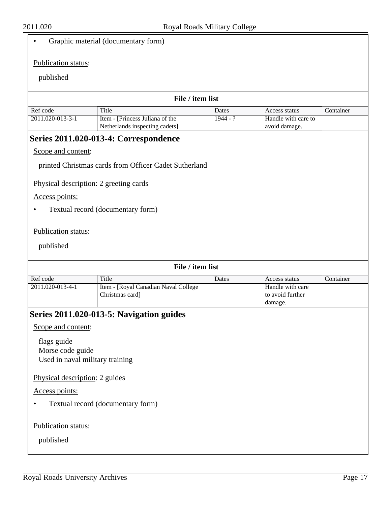### • Graphic material (documentary form)

#### Publication status:

#### published

| File / item list |                                                                  |            |                                      |           |
|------------------|------------------------------------------------------------------|------------|--------------------------------------|-----------|
| Ref code         | Title                                                            | Dates      | Access status                        | Container |
| 2011.020-013-3-1 | Item - [Princess Juliana of the<br>Netherlands inspecting cadets | $1944 - ?$ | Handle with care to<br>avoid damage. |           |

## **Series 2011.020-013-4: Correspondence**

### Scope and content:

printed Christmas cards from Officer Cadet Sutherland

Physical description: 2 greeting cards

### Access points:

• Textual record (documentary form)

#### Publication status:

|                                 | File / item list                         |       |                  |           |
|---------------------------------|------------------------------------------|-------|------------------|-----------|
| Ref code                        | Title                                    | Dates | Access status    | Container |
| 2011.020-013-4-1                | Item - [Royal Canadian Naval College     |       | Handle with care |           |
|                                 | Christmas card]                          |       | to avoid further |           |
|                                 |                                          |       | damage.          |           |
|                                 | Series 2011.020-013-5: Navigation guides |       |                  |           |
| Scope and content:              |                                          |       |                  |           |
| flags guide                     |                                          |       |                  |           |
| Morse code guide                |                                          |       |                  |           |
| Used in naval military training |                                          |       |                  |           |
| Physical description: 2 guides  |                                          |       |                  |           |
| Access points:                  |                                          |       |                  |           |
|                                 | Textual record (documentary form)        |       |                  |           |
|                                 |                                          |       |                  |           |
| Publication status:             |                                          |       |                  |           |
| published                       |                                          |       |                  |           |
|                                 |                                          |       |                  |           |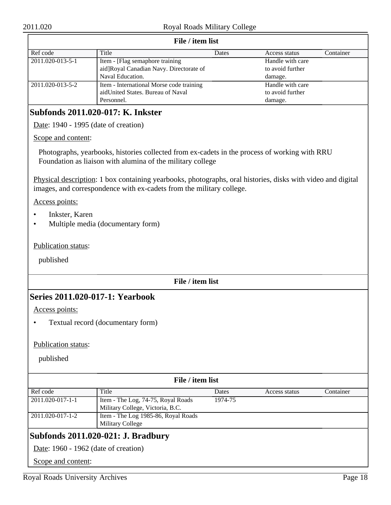| File / item list |                                          |       |                  |           |  |  |
|------------------|------------------------------------------|-------|------------------|-----------|--|--|
| Ref code         | Title                                    | Dates | Access status    | Container |  |  |
| 2011.020-013-5-1 | Item - [Flag semaphore training]         |       | Handle with care |           |  |  |
|                  | aid]Royal Canadian Navy. Directorate of  |       | to avoid further |           |  |  |
|                  | Naval Education.                         |       | damage.          |           |  |  |
| 2011.020-013-5-2 | Item - International Morse code training |       | Handle with care |           |  |  |
|                  | aidUnited States. Bureau of Naval        |       | to avoid further |           |  |  |
|                  | Personnel.                               |       | damage.          |           |  |  |

#### **File / item list**

## **Subfonds 2011.020-017: K. Inkster**

Date: 1940 - 1995 (date of creation)

#### Scope and content:

Photographs, yearbooks, histories collected from ex-cadets in the process of working with RRU Foundation as liaison with alumina of the military college

Physical description: 1 box containing yearbooks, photographs, oral histories, disks with video and digital images, and correspondence with ex-cadets from the military college.

Access points:

- Inkster, Karen
- Multiple media (documentary form)

Publication status:

published

#### **File / item list**

### **Series 2011.020-017-1: Yearbook**

Access points:

• Textual record (documentary form)

#### Publication status:

published

| File / item list                   |                                      |         |               |           |  |
|------------------------------------|--------------------------------------|---------|---------------|-----------|--|
| Ref code                           | Title                                | Dates   | Access status | Container |  |
| 2011.020-017-1-1                   | Item - The Log, 74-75, Royal Roads   | 1974-75 |               |           |  |
|                                    | Military College, Victoria, B.C.     |         |               |           |  |
| 2011.020-017-1-2                   | Item - The Log 1985-86, Royal Roads  |         |               |           |  |
|                                    | <b>Military College</b>              |         |               |           |  |
| Subfonds 2011.020-021: J. Bradbury |                                      |         |               |           |  |
|                                    | Date: 1960 - 1962 (date of creation) |         |               |           |  |

Scope and content: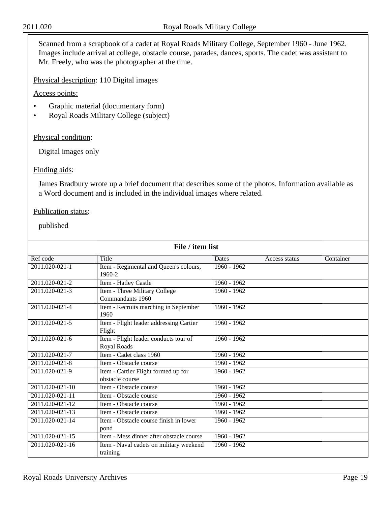Scanned from a scrapbook of a cadet at Royal Roads Military College, September 1960 - June 1962. Images include arrival at college, obstacle course, parades, dances, sports. The cadet was assistant to Mr. Freely, who was the photographer at the time.

Physical description: 110 Digital images

Access points:

- Graphic material (documentary form)
- Royal Roads Military College (subject)

#### Physical condition:

Digital images only

#### Finding aids:

James Bradbury wrote up a brief document that describes some of the photos. Information available as a Word document and is included in the individual images where related.

#### Publication status:

| File / item list                         |                                                                                                                                                                   |                                                              |           |  |  |
|------------------------------------------|-------------------------------------------------------------------------------------------------------------------------------------------------------------------|--------------------------------------------------------------|-----------|--|--|
| Title                                    | Dates                                                                                                                                                             | Access status                                                | Container |  |  |
| Item - Regimental and Queen's colours,   | 1960 - 1962                                                                                                                                                       |                                                              |           |  |  |
| 1960-2                                   |                                                                                                                                                                   |                                                              |           |  |  |
| Item - Hatley Castle                     | $1960 - 1962$                                                                                                                                                     |                                                              |           |  |  |
| Item - Three Military College            | 1960 - 1962                                                                                                                                                       |                                                              |           |  |  |
| Commandants 1960                         |                                                                                                                                                                   |                                                              |           |  |  |
| Item - Recruits marching in September    | $1960 - 1962$                                                                                                                                                     |                                                              |           |  |  |
| 1960                                     |                                                                                                                                                                   |                                                              |           |  |  |
|                                          | 1960 - 1962                                                                                                                                                       |                                                              |           |  |  |
| Flight                                   |                                                                                                                                                                   |                                                              |           |  |  |
|                                          |                                                                                                                                                                   |                                                              |           |  |  |
|                                          |                                                                                                                                                                   |                                                              |           |  |  |
|                                          |                                                                                                                                                                   |                                                              |           |  |  |
| Item - Obstacle course                   | 1960 - 1962                                                                                                                                                       |                                                              |           |  |  |
|                                          |                                                                                                                                                                   |                                                              |           |  |  |
| obstacle course                          |                                                                                                                                                                   |                                                              |           |  |  |
| Item - Obstacle course                   |                                                                                                                                                                   |                                                              |           |  |  |
| Item - Obstacle course                   | $1960 - 1962$                                                                                                                                                     |                                                              |           |  |  |
| Item - Obstacle course                   | $1960 - 1962$                                                                                                                                                     |                                                              |           |  |  |
| Item - Obstacle course                   | $1960 - 1962$                                                                                                                                                     |                                                              |           |  |  |
| Item - Obstacle course finish in lower   | 1960 - 1962                                                                                                                                                       |                                                              |           |  |  |
| pond                                     |                                                                                                                                                                   |                                                              |           |  |  |
| Item - Mess dinner after obstacle course | $1960 - 1962$                                                                                                                                                     |                                                              |           |  |  |
| Item - Naval cadets on military weekend  | $1960 - 1962$                                                                                                                                                     |                                                              |           |  |  |
| training                                 |                                                                                                                                                                   |                                                              |           |  |  |
|                                          | Item - Flight leader addressing Cartier<br>Item - Flight leader conducts tour of<br>Royal Roads<br>Item - Cadet class 1960<br>Item - Cartier Flight formed up for | 1960 - 1962<br>1960 - 1962<br>$1960 - 1962$<br>$1960 - 1962$ |           |  |  |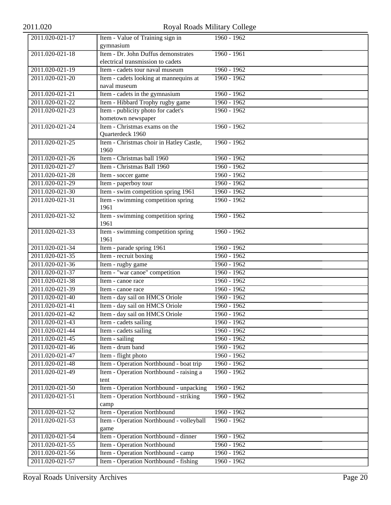# 2011.020 Royal Roads Military College

| 2011.020-021-17 | Item - Value of Training sign in         | 1960 - 1962   |
|-----------------|------------------------------------------|---------------|
|                 | gymnasium                                |               |
| 2011.020-021-18 | Item - Dr. John Duffus demonstrates      | $1960 - 1961$ |
|                 | electrical transmission to cadets        |               |
| 2011.020-021-19 | Item - cadets tour naval museum          | $1960 - 1962$ |
| 2011.020-021-20 | Item - cadets looking at mannequins at   | $1960 - 1962$ |
|                 | naval museum                             |               |
| 2011.020-021-21 | Item - cadets in the gymnasium           | $1960 - 1962$ |
| 2011.020-021-22 | Item - Hibbard Trophy rugby game         | $1960 - 1962$ |
| 2011.020-021-23 | Item - publicity photo for cadet's       | 1960 - 1962   |
|                 | hometown newspaper                       |               |
| 2011.020-021-24 | Item - Christmas exams on the            | $1960 - 1962$ |
|                 | Quarterdeck 1960                         |               |
| 2011.020-021-25 | Item - Christmas choir in Hatley Castle, | $1960 - 1962$ |
|                 | 1960                                     |               |
| 2011.020-021-26 | Item - Christmas ball 1960               | 1960 - 1962   |
| 2011.020-021-27 | Item - Christmas Ball 1960               | $1960 - 1962$ |
| 2011.020-021-28 | Item - soccer game                       | $1960 - 1962$ |
| 2011.020-021-29 | Item - paperboy tour                     | $1960 - 1962$ |
| 2011.020-021-30 | Item - swim competition spring 1961      | $1960 - 1962$ |
| 2011.020-021-31 | Item - swimming competition spring       | $1960 - 1962$ |
|                 | 1961                                     |               |
| 2011.020-021-32 | Item - swimming competition spring       | 1960 - 1962   |
|                 | 1961                                     |               |
| 2011.020-021-33 | Item - swimming competition spring       | $1960 - 1962$ |
|                 | 1961                                     |               |
| 2011.020-021-34 | Item - parade spring 1961                | $1960 - 1962$ |
| 2011.020-021-35 | Item - recruit boxing                    | $1960 - 1962$ |
| 2011.020-021-36 | Item - rugby game                        | $1960 - 1962$ |
| 2011.020-021-37 | Item - "war canoe" competition           | $1960 - 1962$ |
| 2011.020-021-38 | Item - canoe race                        | 1960 - 1962   |
| 2011.020-021-39 | Item - canoe race                        | $1960 - 1962$ |
| 2011.020-021-40 | Item - day sail on HMCS Oriole           | $1960 - 1962$ |
| 2011.020-021-41 | Item - day sail on HMCS Oriole           | 1960 - 1962   |
| 2011.020-021-42 | Item - day sail on HMCS Oriole           | $1960 - 1962$ |
| 2011.020-021-43 | Item - cadets sailing                    | $1960 - 1962$ |
| 2011.020-021-44 | Item - cadets sailing                    | 1960 - 1962   |
| 2011.020-021-45 | Item - sailing                           | $1960 - 1962$ |
| 2011.020-021-46 | Item - drum band                         | $1960 - 1962$ |
| 2011.020-021-47 | Item - flight photo                      | $1960 - 1962$ |
| 2011.020-021-48 | Item - Operation Northbound - boat trip  | $1960 - 1962$ |
| 2011.020-021-49 | Item - Operation Northbound - raising a  | $1960 - 1962$ |
|                 | tent                                     |               |
| 2011.020-021-50 | Item - Operation Northbound - unpacking  | 1960 - 1962   |
| 2011.020-021-51 | Item - Operation Northbound - striking   | 1960 - 1962   |
|                 | camp                                     |               |
| 2011.020-021-52 | Item - Operation Northbound              | $1960 - 1962$ |
| 2011.020-021-53 | Item - Operation Northbound - volleyball | $1960 - 1962$ |
|                 | game                                     |               |
| 2011.020-021-54 | Item - Operation Northbound - dinner     | $1960 - 1962$ |
| 2011.020-021-55 | Item - Operation Northbound              | $1960 - 1962$ |
| 2011.020-021-56 | Item - Operation Northbound - camp       | 1960 - 1962   |
| 2011.020-021-57 | Item - Operation Northbound - fishing    | $1960 - 1962$ |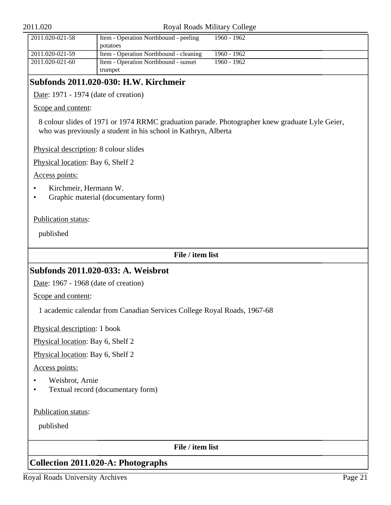#### Royal Roads Military College

| $2011.020 - 021 - 58$ | Item - Operation Northbound - peeling  | 1960 - 1962 |
|-----------------------|----------------------------------------|-------------|
|                       | potatoes                               |             |
| 2011.020-021-59       | Item - Operation Northbound - cleaning | 1960 - 1962 |
| 2011.020-021-60       | Item - Operation Northbound - sunset   | 1960 - 1962 |
|                       | trumpet                                |             |

## **Subfonds 2011.020-030: H.W. Kirchmeir**

Date: 1971 - 1974 (date of creation)

Scope and content:

8 colour slides of 1971 or 1974 RRMC graduation parade. Photographer knew graduate Lyle Geier, who was previously a student in his school in Kathryn, Alberta

Physical description: 8 colour slides

Physical location: Bay 6, Shelf 2

Access points:

- Kirchmeir, Hermann W.
- Graphic material (documentary form)

Publication status:

published

**File / item list**

## **Subfonds 2011.020-033: A. Weisbrot**

Date: 1967 - 1968 (date of creation)

Scope and content:

1 academic calendar from Canadian Services College Royal Roads, 1967-68

Physical description: 1 book

Physical location: Bay 6, Shelf 2

Physical location: Bay 6, Shelf 2

Access points:

- Weisbrot, Arnie
- Textual record (documentary form)

Publication status:

published

**File / item list**

## <span id="page-20-0"></span>**Collection 2011.020-A: Photographs**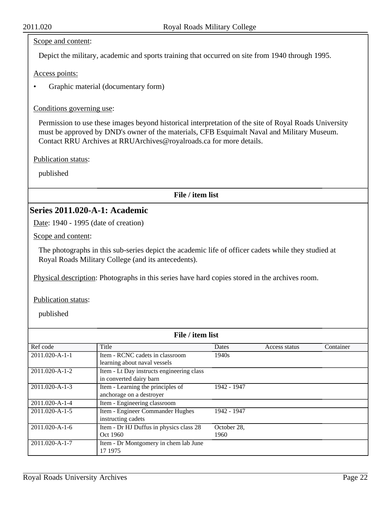#### Scope and content:

Depict the military, academic and sports training that occurred on site from 1940 through 1995.

Access points:

• Graphic material (documentary form)

Conditions governing use:

Permission to use these images beyond historical interpretation of the site of Royal Roads University must be approved by DND's owner of the materials, CFB Esquimalt Naval and Military Museum. Contact RRU Archives at RRUArchives@royalroads.ca for more details.

Publication status:

published

**File / item list**

## **Series 2011.020-A-1: Academic**

Date: 1940 - 1995 (date of creation)

Scope and content:

The photographs in this sub-series depict the academic life of officer cadets while they studied at Royal Roads Military College (and its antecedents).

Physical description: Photographs in this series have hard copies stored in the archives room.

Publication status:

| File / item list       |                                           |             |               |           |  |
|------------------------|-------------------------------------------|-------------|---------------|-----------|--|
| Ref code               | Title                                     | Dates       | Access status | Container |  |
| 2011.020-A-1-1         | Item - RCNC cadets in classroom           | 1940s       |               |           |  |
|                        | learning about naval vessels              |             |               |           |  |
| $2011.020 - A - 1 - 2$ | Item - Lt Day instructs engineering class |             |               |           |  |
|                        | in converted dairy barn                   |             |               |           |  |
| $2011.020 - A - 1 - 3$ | Item - Learning the principles of         | 1942 - 1947 |               |           |  |
|                        | anchorage on a destroyer                  |             |               |           |  |
| 2011.020-A-1-4         | Item - Engineering classroom              |             |               |           |  |
| $2011.020 - A - 1 - 5$ | Item - Engineer Commander Hughes          | 1942 - 1947 |               |           |  |
|                        | instructing cadets                        |             |               |           |  |
| $2011.020 - A - 1 - 6$ | Item - Dr HJ Duffus in physics class 28   | October 28, |               |           |  |
|                        | Oct 1960                                  | 1960        |               |           |  |
| 2011.020-A-1-7         | Item - Dr Montgomery in chem lab June     |             |               |           |  |
|                        | 17 1975                                   |             |               |           |  |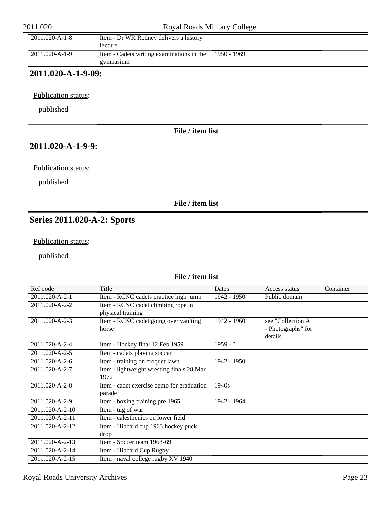| 2011.020                           | Royal Roads Military College                            |                        |                                                     |           |
|------------------------------------|---------------------------------------------------------|------------------------|-----------------------------------------------------|-----------|
| $2011.020 - A - 1 - 8$             | Item - Dr WR Rodney delivers a history<br>lecture       |                        |                                                     |           |
| 2011.020-A-1-9                     | Item - Cadets writing examinations in the<br>gymnasium  | $1950 - 1969$          |                                                     |           |
| 2011.020-A-1-9-09:                 |                                                         |                        |                                                     |           |
| Publication status:                |                                                         |                        |                                                     |           |
| published                          |                                                         |                        |                                                     |           |
|                                    | File / item list                                        |                        |                                                     |           |
| 2011.020-A-1-9-9:                  |                                                         |                        |                                                     |           |
| Publication status:                |                                                         |                        |                                                     |           |
| published                          |                                                         |                        |                                                     |           |
|                                    | File / item list                                        |                        |                                                     |           |
| <b>Series 2011.020-A-2: Sports</b> |                                                         |                        |                                                     |           |
| Publication status:<br>published   | File / item list                                        |                        |                                                     |           |
|                                    |                                                         |                        |                                                     |           |
| Ref code<br>2011.020-A-2-1         | Title<br>Item - RCNC cadets practice high jump          | Dates<br>$1942 - 1950$ | Access status<br>Public domain                      | Container |
| 2011.020-A-2-2                     | Item - RCNC cadet climbing rope in<br>physical training |                        |                                                     |           |
| 2011.020-A-2-3                     | Item - RCNC cadet going over vaulting<br>horse          | 1942 - 1960            | see "Collection A<br>- Photographs" for<br>details. |           |
| 2011.020-A-2-4                     | Item - Hockey final 12 Feb 1959                         | $1959 - ?$             |                                                     |           |
| 2011.020-A-2-5                     | Item - cadets playing soccer                            |                        |                                                     |           |
| $2011.020 - A - 2 - 6$             | Item - training on croquet lawn                         | 1942 - 1950            |                                                     |           |
| 2011.020-A-2-7                     | Item - lightweight wresting finals 28 Mar<br>1972       |                        |                                                     |           |
| 2011.020-A-2-8                     | Item - cadet exercise demo for graduation               | $\overline{1940s}$     |                                                     |           |
| 2011.020-A-2-9                     | parade<br>Item - boxing training pre 1965               | 1942 - 1964            |                                                     |           |
| 2011.020-A-2-10                    | Item - tug of war                                       |                        |                                                     |           |
| 2011.020-A-2-11                    | Item - calesthenics on lower field                      |                        |                                                     |           |
| 2011.020-A-2-12                    | Item - Hibbard cup 1963 hockey puck<br>drop             |                        |                                                     |           |
| 2011.020-A-2-13                    | Item - Soccer team 1968-69                              |                        |                                                     |           |
| 2011.020-A-2-14                    | Item - Hibbard Cup Rugby                                |                        |                                                     |           |
| 2011.020-A-2-15                    | Item - naval college rugby XV 1940                      |                        |                                                     |           |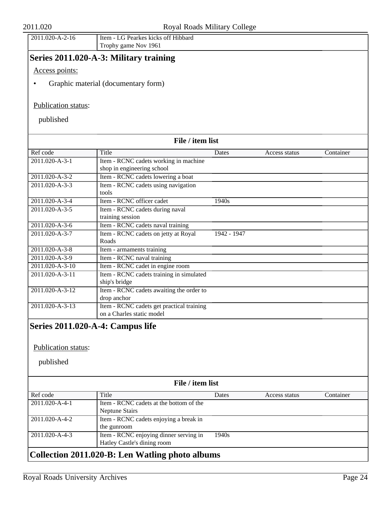| 100<br>$\Delta$<br>.020-A-2-16 | CCTT11<br>ttem -<br>Hibbaro<br>kicks<br>ott<br><b>Pearkes</b> |
|--------------------------------|---------------------------------------------------------------|
|                                | 1961<br>$\sqrt{N}$<br>game.<br>Trophy<br>$\sim$               |

## **Series 2011.020-A-3: Military training**

Access points:

• Graphic material (documentary form)

#### Publication status:

published

| File / item list                 |                                           |             |               |           |  |
|----------------------------------|-------------------------------------------|-------------|---------------|-----------|--|
| Ref code                         | Title                                     | Dates       | Access status | Container |  |
| $2011.020 - A - 3 - 1$           | Item - RCNC cadets working in machine     |             |               |           |  |
|                                  | shop in engineering school                |             |               |           |  |
| 2011.020-A-3-2                   | Item - RCNC cadets lowering a boat        |             |               |           |  |
| 2011.020-A-3-3                   | Item - RCNC cadets using navigation       |             |               |           |  |
|                                  | tools                                     |             |               |           |  |
| 2011.020-A-3-4                   | Item - RCNC officer cadet                 | 1940s       |               |           |  |
| 2011.020-A-3-5                   | Item - RCNC cadets during naval           |             |               |           |  |
|                                  | training session                          |             |               |           |  |
| 2011.020-A-3-6                   | Item - RCNC cadets naval training         |             |               |           |  |
| 2011.020-A-3-7                   | Item - RCNC cadets on jetty at Royal      | 1942 - 1947 |               |           |  |
|                                  | Roads                                     |             |               |           |  |
| 2011.020-A-3-8                   | Item - armaments training                 |             |               |           |  |
| 2011.020-A-3-9                   | Item - RCNC naval training                |             |               |           |  |
| 2011.020-A-3-10                  | Item - RCNC cadet in engine room          |             |               |           |  |
| 2011.020-A-3-11                  | Item - RCNC cadets training in simulated  |             |               |           |  |
|                                  | ship's bridge                             |             |               |           |  |
| 2011.020-A-3-12                  | Item - RCNC cadets awaiting the order to  |             |               |           |  |
|                                  | drop anchor                               |             |               |           |  |
| 2011.020-A-3-13                  | Item - RCNC cadets get practical training |             |               |           |  |
|                                  | on a Charles static model                 |             |               |           |  |
| Series 2011.020-A-4: Campus life |                                           |             |               |           |  |
| Publication status:              |                                           |             |               |           |  |
| published                        |                                           |             |               |           |  |
|                                  | File / item list                          |             |               |           |  |
| Ref code                         | Title                                     | Dates       | Access status | Container |  |
| 2011.020-A-4-1                   | Item - RCNC cadets at the bottom of the   |             |               |           |  |
|                                  | <b>Neptune Stairs</b>                     |             |               |           |  |
| 2011.020-A-4-2                   | Item - RCNC cadets enjoying a break in    |             |               |           |  |

1940s

<span id="page-23-0"></span>the gunroom 2011.020-A-4-3 Item - RCNC enjoying dinner serving in

Hatley Castle's dining room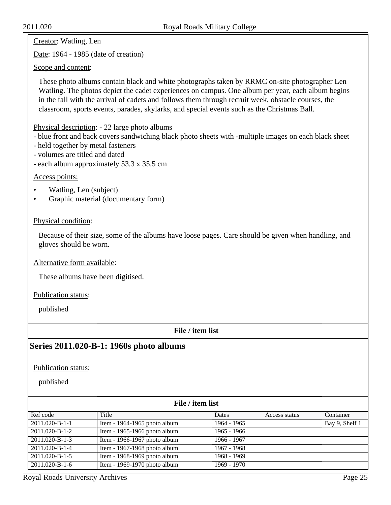Creator: Watling, Len

Date: 1964 - 1985 (date of creation)

Scope and content:

These photo albums contain black and white photographs taken by RRMC on-site photographer Len Watling. The photos depict the cadet experiences on campus. One album per year, each album begins in the fall with the arrival of cadets and follows them through recruit week, obstacle courses, the classroom, sports events, parades, skylarks, and special events such as the Christmas Ball.

Physical description: - 22 large photo albums

- blue front and back covers sandwiching black photo sheets with -multiple images on each black sheet
- held together by metal fasteners
- volumes are titled and dated
- each album approximately 53.3 x 35.5 cm

#### Access points:

- Watling, Len (subject)
- Graphic material (documentary form)

#### Physical condition:

Because of their size, some of the albums have loose pages. Care should be given when handling, and gloves should be worn.

Alternative form available:

These albums have been digitised.

Publication status:

published

### **File / item list**

## **Series 2011.020-B-1: 1960s photo albums**

Publication status:

published

| File / item list       |                              |               |               |                |
|------------------------|------------------------------|---------------|---------------|----------------|
| Ref code               | Title                        | Dates         | Access status | Container      |
| 2011.020-B-1-1         | Item - 1964-1965 photo album | 1964 - 1965   |               | Bay 9, Shelf 1 |
| 2011.020-B-1-2         | Item - 1965-1966 photo album | $1965 - 1966$ |               |                |
| 2011.020-B-1-3         | Item - 1966-1967 photo album | 1966 - 1967   |               |                |
| 2011.020-B-1-4         | Item - 1967-1968 photo album | 1967 - 1968   |               |                |
| $2011.020 - B - 1 - 5$ | Item - 1968-1969 photo album | 1968 - 1969   |               |                |
| 2011.020-B-1-6         | Item - 1969-1970 photo album | 1969 - 1970   |               |                |

Royal Roads University Archives Page 25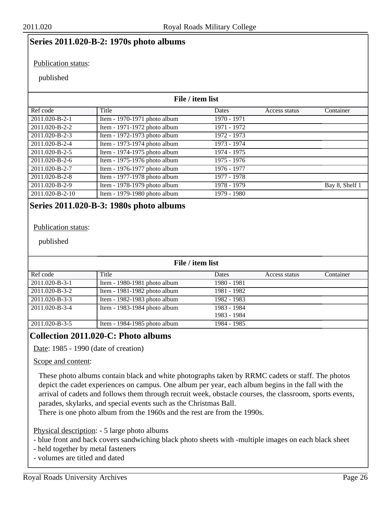### **Series 2011.020-B-2: 1970s photo albums**

#### Publication status:

#### published

#### **File / item list** Ref code Title Ref code Ref and Title Dates Access status Container 2011.020-B-2-1 Item - 1970-1971 photo album 1970 - 1971 2011.020-B-2-2 Item - 1971-1972 photo album 1971 - 1972 2011.020-B-2-3 Item - 1972-1973 photo album 1972 - 1973 2011.020-B-2-4 Item - 1973-1974 photo album 1973 - 1974 2011.020-B-2-5 Item - 1974-1975 photo album 1974 - 1975 2011.020-B-2-6 Item - 1975-1976 photo album 1975 - 1976 2011.020-B-2-7 Item - 1976-1977 photo album 1976 - 1977 2011.020-B-2-8 Item - 1977-1978 photo album 1977 - 1978 2011.020-B-2-9 Item - 1978-1979 photo album 1978 - 1979 Bay 8, Shelf 1 2011.020-B-2-10 **Item - 1979-1980 photo album** 1979 - 1980

## **Series 2011.020-B-3: 1980s photo albums**

#### Publication status:

#### published

| File / item list       |                              |             |               |           |
|------------------------|------------------------------|-------------|---------------|-----------|
| Ref code               | Title                        | Dates       | Access status | Container |
| $2011.020 - B - 3 - 1$ | Item - 1980-1981 photo album | 1980 - 1981 |               |           |
| 2011.020-B-3-2         | Item - 1981-1982 photo album | 1981 - 1982 |               |           |
| 2011.020-B-3-3         | Item - 1982-1983 photo album | 1982 - 1983 |               |           |
| $2011.020 - B - 3 - 4$ | Item - 1983-1984 photo album | 1983 - 1984 |               |           |
|                        |                              | 1983 - 1984 |               |           |
| 2011.020-B-3-5         | Item - 1984-1985 photo album | 1984 - 1985 |               |           |

## <span id="page-25-0"></span>**Collection 2011.020-C: Photo albums**

Date: 1985 - 1990 (date of creation)

#### Scope and content:

These photo albums contain black and white photographs taken by RRMC cadets or staff. The photos depict the cadet experiences on campus. One album per year, each album begins in the fall with the arrival of cadets and follows them through recruit week, obstacle courses, the classroom, sports events, parades, skylarks, and special events such as the Christmas Ball.

There is one photo album from the 1960s and the rest are from the 1990s.

Physical description: - 5 large photo albums

- blue front and back covers sandwiching black photo sheets with -multiple images on each black sheet

- held together by metal fasteners
- volumes are titled and dated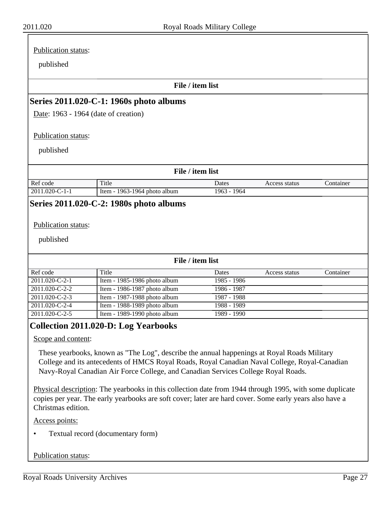|                                                                                                                                                                                  | File / item list           |               |           |
|----------------------------------------------------------------------------------------------------------------------------------------------------------------------------------|----------------------------|---------------|-----------|
| Series 2011.020-C-1: 1960s photo albums                                                                                                                                          |                            |               |           |
| Date: 1963 - 1964 (date of creation)                                                                                                                                             |                            |               |           |
|                                                                                                                                                                                  |                            |               |           |
| <b>Publication status:</b>                                                                                                                                                       |                            |               |           |
| published                                                                                                                                                                        |                            |               |           |
|                                                                                                                                                                                  |                            |               |           |
|                                                                                                                                                                                  | File / item list           |               |           |
|                                                                                                                                                                                  |                            |               |           |
| Title<br>Item - 1963-1964 photo album                                                                                                                                            | Dates<br>$1963 - 1964$     | Access status | Container |
| Ref code<br>$2011.020 - C - 1 - 1$<br>Series 2011.020-C-2: 1980s photo albums                                                                                                    |                            |               |           |
| Publication status:<br>published                                                                                                                                                 |                            |               |           |
|                                                                                                                                                                                  | File / item list           |               |           |
| Title                                                                                                                                                                            | Dates                      | Access status | Container |
| Item - 1985-1986 photo album                                                                                                                                                     | 1985 - 1986                |               |           |
| Item - 1986-1987 photo album                                                                                                                                                     | 1986 - 1987                |               |           |
| Item - 1987-1988 photo album                                                                                                                                                     | 1987 - 1988                |               |           |
| Ref code<br>2011.020-C-2-1<br>2011.020-C-2-2<br>$20\overline{11.020}$ -C-2-3<br>2011.020-C-2-4<br>Item - 1988-1989 photo album<br>2011.020-C-2-5<br>Item - 1989-1990 photo album | 1988 - 1989<br>1989 - 1990 |               |           |

<span id="page-26-0"></span>Physical description: The yearbooks in this collection date from 1944 through 1995, with some duplicate copies per year. The early yearbooks are soft cover; later are hard cover. Some early years also have a Christmas edition.

Access points:

• Textual record (documentary form)

#### Publication status: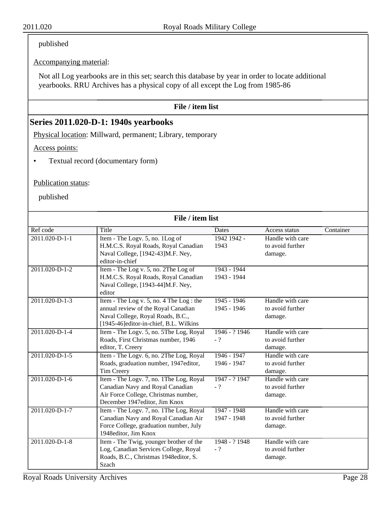## published

### Accompanying material:

Not all Log yearbooks are in this set; search this database by year in order to locate additional yearbooks. RRU Archives has a physical copy of all except the Log from 1985-86

### **File / item list**

## **Series 2011.020-D-1: 1940s yearbooks**

Physical location: Millward, permanent; Library, temporary

Access points:

• Textual record (documentary form)

#### Publication status:

| File / item list       |                                                                                   |               |                  |           |
|------------------------|-----------------------------------------------------------------------------------|---------------|------------------|-----------|
| Ref code               | Title                                                                             | Dates         | Access status    | Container |
| $2011.020 - D - 1 - 1$ | Item - The Logv. 5, no. 1Log of                                                   | 1942 1942 -   | Handle with care |           |
|                        | H.M.C.S. Royal Roads, Royal Canadian                                              | 1943          | to avoid further |           |
|                        | Naval College, [1942-43]M.F. Ney,                                                 |               | damage.          |           |
|                        | editor-in-chief                                                                   |               |                  |           |
| 2011.020-D-1-2         | Item - The Log v. 5, no. 2The Log of                                              | $1943 - 1944$ |                  |           |
|                        | H.M.C.S. Royal Roads, Royal Canadian                                              | 1943 - 1944   |                  |           |
|                        | Naval College, [1943-44]M.F. Ney,                                                 |               |                  |           |
|                        | editor                                                                            |               |                  |           |
| $2011.020 - D - 1 - 3$ | Item - The Log v. 5, no. 4 The Log : the                                          | $1945 - 1946$ | Handle with care |           |
|                        | annual review of the Royal Canadian                                               | 1945 - 1946   | to avoid further |           |
|                        | Naval College, Royal Roads, B.C.,                                                 |               | damage.          |           |
| 2011.020-D-1-4         | [1945-46]editor-in-chief, B.L. Wilkins<br>Item - The Logy. 5, no. 5The Log, Royal | 1946 - ? 1946 | Handle with care |           |
|                        | Roads, First Christmas number, 1946                                               | $-$ ?         | to avoid further |           |
|                        | editor, T. Creery                                                                 |               | damage.          |           |
| 2011.020-D-1-5         | Item - The Logv. 6, no. 2The Log, Royal                                           | 1946 - 1947   | Handle with care |           |
|                        | Roads, graduation number, 1947editor,                                             | 1946 - 1947   | to avoid further |           |
|                        | Tim Creery                                                                        |               | damage.          |           |
| $2011.020 - D - 1 - 6$ | Item - The Logy. 7, no. 1The Log, Royal                                           | 1947 - ? 1947 | Handle with care |           |
|                        | Canadian Navy and Royal Canadian                                                  | $-$ ?         | to avoid further |           |
|                        | Air Force College, Christmas number,                                              |               | damage.          |           |
|                        | December 1947editor, Jim Knox                                                     |               |                  |           |
| 2011.020-D-1-7         | Item - The Logy. 7, no. 1The Log, Royal                                           | 1947 - 1948   | Handle with care |           |
|                        | Canadian Navy and Royal Canadian Air                                              | 1947 - 1948   | to avoid further |           |
|                        | Force College, graduation number, July                                            |               | damage.          |           |
|                        | 1948editor, Jim Knox                                                              |               |                  |           |
| 2011.020-D-1-8         | Item - The Twig, younger brother of the                                           | 1948 - ? 1948 | Handle with care |           |
|                        | Log, Canadian Services College, Royal                                             | $-$ ?         | to avoid further |           |
|                        | Roads, B.C., Christmas 1948editor, S.                                             |               | damage.          |           |
|                        | Szach                                                                             |               |                  |           |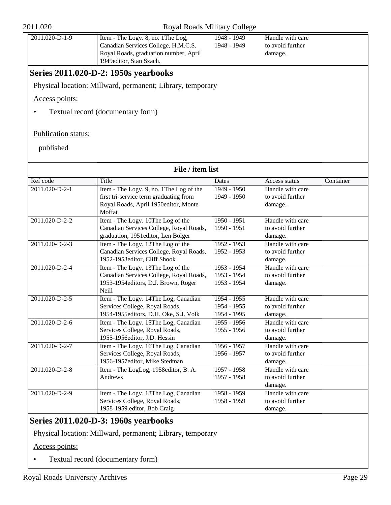| 2011.020-D-1-9 | Item - The Logy. 8, no. 1 The Log,<br>Canadian Services College, H.M.C.S.<br>Royal Roads, graduation number, April<br>1949 editor, Stan Szach. | 1948 - 1949<br>1948 - 1949 | Handle with care<br>to avoid further<br>damage. |
|----------------|------------------------------------------------------------------------------------------------------------------------------------------------|----------------------------|-------------------------------------------------|
|                |                                                                                                                                                |                            |                                                 |

## **Series 2011.020-D-2: 1950s yearbooks**

Physical location: Millward, permanent; Library, temporary

Access points:

• Textual record (documentary form)

#### Publication status:

published

| File / item list              |                                         |               |                  |           |
|-------------------------------|-----------------------------------------|---------------|------------------|-----------|
| Ref code                      | Title                                   | <b>Dates</b>  | Access status    | Container |
| 2011.020-D-2-1                | Item - The Logy. 9, no. 1The Log of the | $1949 - 1950$ | Handle with care |           |
|                               | first tri-service term graduating from  | 1949 - 1950   | to avoid further |           |
|                               | Royal Roads, April 1950editor, Monte    |               | damage.          |           |
|                               | Moffat                                  |               |                  |           |
| 2011.020-D-2-2                | Item - The Logy. 10The Log of the       | $1950 - 1951$ | Handle with care |           |
|                               | Canadian Services College, Royal Roads, | 1950 - 1951   | to avoid further |           |
|                               | graduation, 1951editor, Len Bolger      |               | damage.          |           |
| $20\overline{11.020 - D-2-3}$ | Item - The Logy. 12The Log of the       | $1952 - 1953$ | Handle with care |           |
|                               | Canadian Services College, Royal Roads, | 1952 - 1953   | to avoid further |           |
|                               | 1952-1953editor, Cliff Shook            |               | damage.          |           |
| 2011.020-D-2-4                | Item - The Logy. 13The Log of the       | $1953 - 1954$ | Handle with care |           |
|                               | Canadian Services College, Royal Roads, | 1953 - 1954   | to avoid further |           |
|                               | 1953-1954editors, D.J. Brown, Roger     | 1953 - 1954   | damage.          |           |
|                               | <b>Neill</b>                            |               |                  |           |
| 2011.020-D-2-5                | Item - The Logy. 14The Log, Canadian    | $1954 - 1955$ | Handle with care |           |
|                               | Services College, Royal Roads,          | 1954 - 1955   | to avoid further |           |
|                               | 1954-1955editors, D.H. Oke, S.J. Volk   | 1954 - 1995   | damage.          |           |
| 2011.020-D-2-6                | Item - The Logy. 15The Log, Canadian    | $1955 - 1956$ | Handle with care |           |
|                               | Services College, Royal Roads,          | 1955 - 1956   | to avoid further |           |
|                               | 1955-1956editor, J.D. Hessin            |               | damage.          |           |
| 2011.020-D-2-7                | Item - The Logy. 16The Log, Canadian    | $1956 - 1957$ | Handle with care |           |
|                               | Services College, Royal Roads,          | 1956 - 1957   | to avoid further |           |
|                               | 1956-1957editor, Mike Stedman           |               | damage.          |           |
| 2011.020-D-2-8                | Item - The LogLog, 1958editor, B. A.    | $1957 - 1958$ | Handle with care |           |
|                               | Andrews                                 | 1957 - 1958   | to avoid further |           |
|                               |                                         |               | damage.          |           |
| 2011.020-D-2-9                | Item - The Logy. 18The Log, Canadian    | $1958 - 1959$ | Handle with care |           |
|                               | Services College, Royal Roads,          | 1958 - 1959   | to avoid further |           |
|                               | 1958-1959.editor, Bob Craig             |               | damage.          |           |

## **Series 2011.020-D-3: 1960s yearbooks**

Physical location: Millward, permanent; Library, temporary

Access points:

• Textual record (documentary form)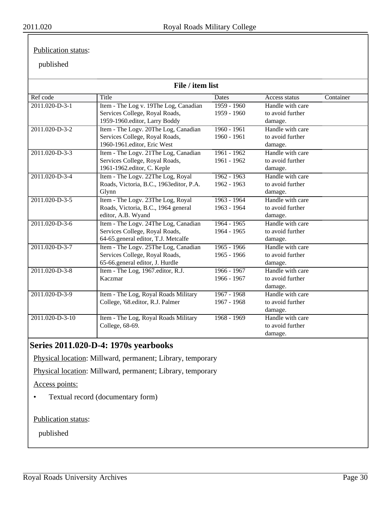#### Publication status:

## published

| File / item list       |                                         |               |                  |           |
|------------------------|-----------------------------------------|---------------|------------------|-----------|
| Ref code               | Title                                   | Dates         | Access status    | Container |
| $2011.020 - D - 3 - 1$ | Item - The Log v. 19The Log, Canadian   | $1959 - 1960$ | Handle with care |           |
|                        | Services College, Royal Roads,          | 1959 - 1960   | to avoid further |           |
|                        | 1959-1960.editor, Larry Boddy           |               | damage.          |           |
| 2011.020-D-3-2         | Item - The Logy. 20The Log, Canadian    | $1960 - 1961$ | Handle with care |           |
|                        | Services College, Royal Roads,          | 1960 - 1961   | to avoid further |           |
|                        | 1960-1961.editor, Eric West             |               | damage.          |           |
| 2011.020-D-3-3         | Item - The Logv. 21The Log, Canadian    | $1961 - 1962$ | Handle with care |           |
|                        | Services College, Royal Roads,          | 1961 - 1962   | to avoid further |           |
|                        | 1961-1962.editor, C. Keple              |               | damage.          |           |
| 2011.020-D-3-4         | Item - The Logy. 22The Log, Royal       | $1962 - 1963$ | Handle with care |           |
|                        | Roads, Victoria, B.C., 1963editor, P.A. | 1962 - 1963   | to avoid further |           |
|                        | Glynn                                   |               | damage.          |           |
| 2011.020-D-3-5         | Item - The Logy. 23The Log, Royal       | $1963 - 1964$ | Handle with care |           |
|                        | Roads, Victoria, B.C., 1964 general     | 1963 - 1964   | to avoid further |           |
|                        | editor, A.B. Wyand                      |               | damage.          |           |
| 2011.020-D-3-6         | Item - The Logy. 24The Log, Canadian    | $1964 - 1965$ | Handle with care |           |
|                        | Services College, Royal Roads,          | 1964 - 1965   | to avoid further |           |
|                        | 64-65.general editor, T.J. Metcalfe     |               | damage.          |           |
| 2011.020-D-3-7         | Item - The Logy. 25The Log, Canadian    | $1965 - 1966$ | Handle with care |           |
|                        | Services College, Royal Roads,          | 1965 - 1966   | to avoid further |           |
|                        | 65-66.general editor, J. Hurdle         |               | damage.          |           |
| 2011.020-D-3-8         | Item - The Log, 1967.editor, R.J.       | $1966 - 1967$ | Handle with care |           |
|                        | Kaczmar                                 | 1966 - 1967   | to avoid further |           |
|                        |                                         |               | damage.          |           |
| 2011.020-D-3-9         | Item - The Log, Royal Roads Military    | $1967 - 1968$ | Handle with care |           |
|                        | College, '68.editor, R.J. Palmer        | 1967 - 1968   | to avoid further |           |
|                        |                                         |               | damage.          |           |
| 2011.020-D-3-10        | Item - The Log, Royal Roads Military    | $1968 - 1969$ | Handle with care |           |
|                        | College, 68-69.                         |               | to avoid further |           |
|                        |                                         |               | damage.          |           |

## **Series 2011.020-D-4: 1970s yearbooks**

Physical location: Millward, permanent; Library, temporary

Physical location: Millward, permanent; Library, temporary

Access points:

• Textual record (documentary form)

Publication status: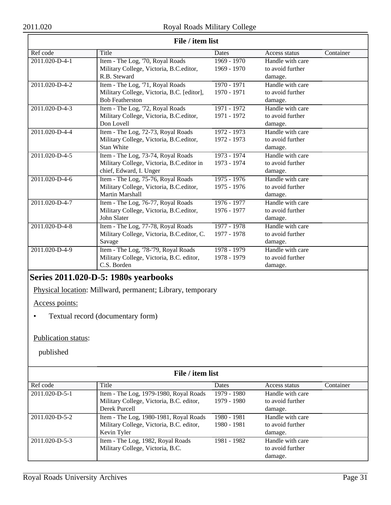$\overline{\Gamma}$ 

| File / item list |                                            |               |                  |           |  |
|------------------|--------------------------------------------|---------------|------------------|-----------|--|
| Ref code         | Title                                      | Dates         | Access status    | Container |  |
| 2011.020-D-4-1   | Item - The Log, '70, Royal Roads           | $1969 - 1970$ | Handle with care |           |  |
|                  | Military College, Victoria, B.C.editor,    | 1969 - 1970   | to avoid further |           |  |
|                  | R.B. Steward                               |               | damage.          |           |  |
| 2011.020-D-4-2   | Item - The Log, '71, Royal Roads           | $1970 - 1971$ | Handle with care |           |  |
|                  | Military College, Victoria, B.C. [editor], | 1970 - 1971   | to avoid further |           |  |
|                  | <b>Bob Featherston</b>                     |               | damage.          |           |  |
| 2011.020-D-4-3   | Item - The Log, '72, Royal Roads           | 1971 - 1972   | Handle with care |           |  |
|                  | Military College, Victoria, B.C.editor,    | 1971 - 1972   | to avoid further |           |  |
|                  | Don Lovell                                 |               | damage.          |           |  |
| 2011.020-D-4-4   | Item - The Log, 72-73, Royal Roads         | 1972 - 1973   | Handle with care |           |  |
|                  | Military College, Victoria, B.C.editor,    | 1972 - 1973   | to avoid further |           |  |
|                  | <b>Stan White</b>                          |               | damage.          |           |  |
| 2011.020-D-4-5   | Item - The Log, 73-74, Royal Roads         | $1973 - 1974$ | Handle with care |           |  |
|                  | Military College, Victoria, B.C. editor in | 1973 - 1974   | to avoid further |           |  |
|                  | chief, Edward, I. Unger                    |               | damage.          |           |  |
| 2011.020-D-4-6   | Item - The Log, 75-76, Royal Roads         | $1975 - 1976$ | Handle with care |           |  |
|                  | Military College, Victoria, B.C.editor,    | 1975 - 1976   | to avoid further |           |  |
|                  | Martin Marshall                            |               | damage.          |           |  |
| 2011.020-D-4-7   | Item - The Log, 76-77, Royal Roads         | 1976 - 1977   | Handle with care |           |  |
|                  | Military College, Victoria, B.C.editor,    | 1976 - 1977   | to avoid further |           |  |
|                  | John Slater                                |               | damage.          |           |  |
| 2011.020-D-4-8   | Item - The Log, 77-78, Royal Roads         | $1977 - 1978$ | Handle with care |           |  |
|                  | Military College, Victoria, B.C.editor, C. | 1977 - 1978   | to avoid further |           |  |
|                  | Savage                                     |               | damage.          |           |  |
| 2011.020-D-4-9   | Item - The Log, '78-'79, Royal Roads       | $1978 - 1979$ | Handle with care |           |  |
|                  | Military College, Victoria, B.C. editor,   | 1978 - 1979   | to avoid further |           |  |
|                  | C.S. Borden                                |               | damage.          |           |  |

### **File / item list**

## **Series 2011.020-D-5: 1980s yearbooks**

Physical location: Millward, permanent; Library, temporary

Access points:

• Textual record (documentary form)

### Publication status:

| File / item list       |                                          |             |                  |           |
|------------------------|------------------------------------------|-------------|------------------|-----------|
| Ref code               | Title                                    | Dates       | Access status    | Container |
| $2011.020 - D - 5 - 1$ | Item - The Log, 1979-1980, Royal Roads   | 1979 - 1980 | Handle with care |           |
|                        | Military College, Victoria, B.C. editor, | 1979 - 1980 | to avoid further |           |
|                        | Derek Purcell                            |             | damage.          |           |
| 2011.020-D-5-2         | Item - The Log, 1980-1981, Royal Roads   | 1980 - 1981 | Handle with care |           |
|                        | Military College, Victoria, B.C. editor, | 1980 - 1981 | to avoid further |           |
|                        | Kevin Tyler                              |             | damage.          |           |
| 2011.020-D-5-3         | Item - The Log, 1982, Royal Roads        | 1981 - 1982 | Handle with care |           |
|                        | Military College, Victoria, B.C.         |             | to avoid further |           |
|                        |                                          |             | damage.          |           |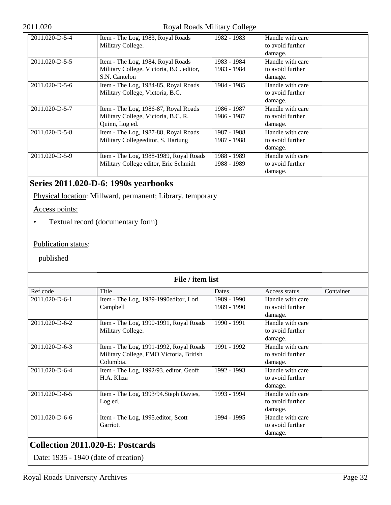#### 2011.020 Royal Roads Military College

| 2011.020-D-5-4 | Item - The Log, 1983, Royal Roads        | 1982 - 1983 | Handle with care |
|----------------|------------------------------------------|-------------|------------------|
|                | Military College.                        |             | to avoid further |
|                |                                          |             | damage.          |
| 2011.020-D-5-5 | Item - The Log, 1984, Royal Roads        | 1983 - 1984 | Handle with care |
|                | Military College, Victoria, B.C. editor, | 1983 - 1984 | to avoid further |
|                | S.N. Cantelon                            |             | damage.          |
| 2011.020-D-5-6 | Item - The Log, 1984-85, Royal Roads     | 1984 - 1985 | Handle with care |
|                | Military College, Victoria, B.C.         |             | to avoid further |
|                |                                          |             | damage.          |
| 2011.020-D-5-7 | Item - The Log, 1986-87, Royal Roads     | 1986 - 1987 | Handle with care |
|                | Military College, Victoria, B.C. R.      | 1986 - 1987 | to avoid further |
|                | Quinn, Log ed.                           |             | damage.          |
| 2011.020-D-5-8 | Item - The Log, 1987-88, Royal Roads     | 1987 - 1988 | Handle with care |
|                | Military Collegeeditor, S. Hartung       | 1987 - 1988 | to avoid further |
|                |                                          |             | damage.          |
| 2011.020-D-5-9 | Item - The Log, 1988-1989, Royal Roads   | 1988 - 1989 | Handle with care |
|                | Military College editor, Eric Schmidt    | 1988 - 1989 | to avoid further |
|                |                                          |             | damage.          |

## **Series 2011.020-D-6: 1990s yearbooks**

Physical location: Millward, permanent; Library, temporary

Access points:

• Textual record (documentary form)

### Publication status:

published

| File / item list |                                         |               |                  |           |
|------------------|-----------------------------------------|---------------|------------------|-----------|
| Ref code         | Title                                   | Dates         | Access status    | Container |
| 2011.020-D-6-1   | Item - The Log, 1989-1990editor, Lori   | 1989 - 1990   | Handle with care |           |
|                  | Campbell                                | 1989 - 1990   | to avoid further |           |
|                  |                                         |               | damage.          |           |
| 2011.020-D-6-2   | Item - The Log, 1990-1991, Royal Roads  | 1990 - 1991   | Handle with care |           |
|                  | Military College.                       |               | to avoid further |           |
|                  |                                         |               | damage.          |           |
| 2011.020-D-6-3   | Item - The Log, 1991-1992, Royal Roads  | 1991 - 1992   | Handle with care |           |
|                  | Military College, FMO Victoria, British |               | to avoid further |           |
|                  | Columbia.                               |               | damage.          |           |
| 2011.020-D-6-4   | Item - The Log, 1992/93. editor, Geoff  | 1992 - 1993   | Handle with care |           |
|                  | H.A. Kliza                              |               | to avoid further |           |
|                  |                                         |               | damage.          |           |
| 2011.020-D-6-5   | Item - The Log, 1993/94. Steph Davies,  | $1993 - 1994$ | Handle with care |           |
|                  | Log ed.                                 |               | to avoid further |           |
|                  |                                         |               | damage.          |           |
| 2011.020-D-6-6   | Item - The Log, 1995.editor, Scott      | 1994 - 1995   | Handle with care |           |
|                  | Garriott                                |               | to avoid further |           |
|                  |                                         |               | damage.          |           |

<span id="page-31-0"></span>Date: 1935 - 1940 (date of creation)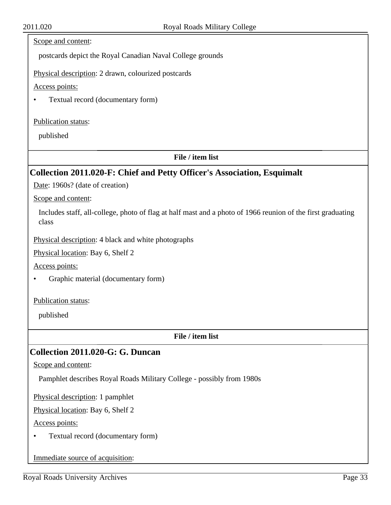### Scope and content:

postcards depict the Royal Canadian Naval College grounds

Physical description: 2 drawn, colourized postcards

Access points:

• Textual record (documentary form)

#### Publication status:

published

#### **File / item list**

## <span id="page-32-0"></span>**Collection 2011.020-F: Chief and Petty Officer's Association, Esquimalt**

Date: 1960s? (date of creation)

Scope and content:

Includes staff, all-college, photo of flag at half mast and a photo of 1966 reunion of the first graduating class

Physical description: 4 black and white photographs

Physical location: Bay 6, Shelf 2

Access points:

• Graphic material (documentary form)

Publication status:

published

**File / item list**

## <span id="page-32-1"></span>**Collection 2011.020-G: G. Duncan**

Scope and content:

Pamphlet describes Royal Roads Military College - possibly from 1980s

Physical description: 1 pamphlet

Physical location: Bay 6, Shelf 2

Access points:

• Textual record (documentary form)

Immediate source of acquisition: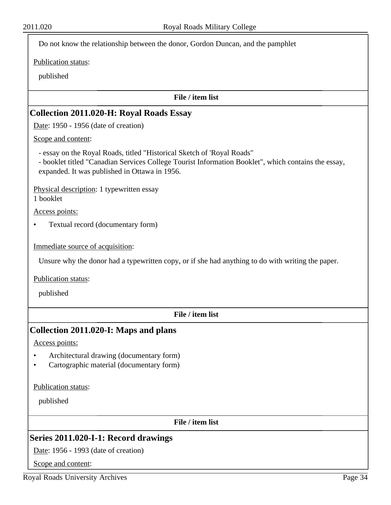Do not know the relationship between the donor, Gordon Duncan, and the pamphlet

Publication status:

published

#### **File / item list**

#### <span id="page-33-0"></span>**Collection 2011.020-H: Royal Roads Essay**

Date: 1950 - 1956 (date of creation)

Scope and content:

- essay on the Royal Roads, titled "Historical Sketch of 'Royal Roads"
- booklet titled "Canadian Services College Tourist Information Booklet", which contains the essay, expanded. It was published in Ottawa in 1956.

Physical description: 1 typewritten essay 1 booklet

Access points:

• Textual record (documentary form)

Immediate source of acquisition:

Unsure why the donor had a typewritten copy, or if she had anything to do with writing the paper.

Publication status:

published

**File / item list**

### <span id="page-33-1"></span>**Collection 2011.020-I: Maps and plans**

Access points:

- Architectural drawing (documentary form)
- Cartographic material (documentary form)

Publication status:

published

**File / item list**

## **Series 2011.020-I-1: Record drawings**

Date: 1956 - 1993 (date of creation)

Scope and content: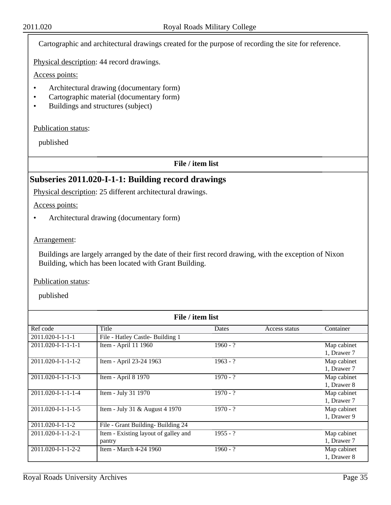Cartographic and architectural drawings created for the purpose of recording the site for reference.

Physical description: 44 record drawings.

Access points:

- Architectural drawing (documentary form)
- Cartographic material (documentary form)
- Buildings and structures (subject)

Publication status:

published

**File / item list**

## **Subseries 2011.020-I-1-1: Building record drawings**

Physical description: 25 different architectural drawings.

Access points:

• Architectural drawing (documentary form)

#### Arrangement:

Buildings are largely arranged by the date of their first record drawing, with the exception of Nixon Building, which has been located with Grant Building.

Publication status:

| File / item list               |                                      |            |               |             |  |
|--------------------------------|--------------------------------------|------------|---------------|-------------|--|
| Ref code                       | Title                                | Dates      | Access status | Container   |  |
| $2011.020 - I - 1 - 1 - 1$     | File - Hatley Castle- Building 1     |            |               |             |  |
| $2011.020 - I - 1 - I - I - I$ | Item - April 11 1960                 | $1960 - ?$ |               | Map cabinet |  |
|                                |                                      |            |               | 1, Drawer 7 |  |
| $2011.020 - 1 - 1 - 1 - 2$     | Item - April 23-24 1963              | $1963 - ?$ |               | Map cabinet |  |
|                                |                                      |            |               | 1, Drawer 7 |  |
| $2011.020 - I - 1 - 1 - 3$     | Item - April 8 1970                  | $1970 - ?$ |               | Map cabinet |  |
|                                |                                      |            |               | 1, Drawer 8 |  |
| $2011.020 - 1 - 1 - 1 - 4$     | Item - July 31 1970                  | $1970 - ?$ |               | Map cabinet |  |
|                                |                                      |            |               | 1, Drawer 7 |  |
| $2011.020 - 1 - 1 - 1 - 5$     | Item - July 31 & August 4 1970       | $1970 - ?$ |               | Map cabinet |  |
|                                |                                      |            |               | 1, Drawer 9 |  |
| 2011.020-I-1-1-2               | File - Grant Building-Building 24    |            |               |             |  |
| $2011.020 - 1 - 1 - 2 - 1$     | Item - Existing layout of galley and | $1955 - ?$ |               | Map cabinet |  |
|                                | pantry                               |            |               | 1, Drawer 7 |  |
| $2011.020 - 1 - 1 - 2 - 2$     | Item - March 4-24 1960               | $1960 - ?$ |               | Map cabinet |  |
|                                |                                      |            |               | 1, Drawer 8 |  |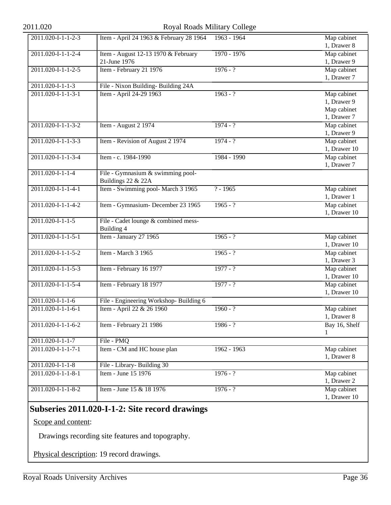### 2011.020 Royal Roads Military College

| 2011.020-I-1-1-2-3   | Item - April 24 1963 & February 28 1964                 | 1963 - 1964   | Map cabinet   |
|----------------------|---------------------------------------------------------|---------------|---------------|
|                      |                                                         |               | 1, Drawer 8   |
| 2011.020-I-1-1-2-4   | Item - August 12-13 1970 & February                     | 1970 - 1976   | Map cabinet   |
|                      | 21-June 1976                                            |               | 1, Drawer 9   |
| 2011.020-I-1-1-2-5   | Item - February 21 1976                                 | $1976 - ?$    | Map cabinet   |
|                      |                                                         |               | 1, Drawer 7   |
| $2011.020-I-1-1-3$   | File - Nixon Building-Building 24A                      |               |               |
| 2011.020-I-1-1-3-1   | Item - April 24-29 1963                                 | $1963 - ?$    | Map cabinet   |
|                      |                                                         |               | 1, Drawer 9   |
|                      |                                                         |               | Map cabinet   |
|                      |                                                         |               | 1, Drawer 7   |
| 2011.020-I-1-1-3-2   | Item - August 2 1974                                    | $1974 - ?$    | Map cabinet   |
|                      |                                                         |               | 1, Drawer 9   |
| 2011.020-I-1-1-3-3   | Item - Revision of August 2 1974                        | $1974 - ?$    | Map cabinet   |
|                      |                                                         |               | 1, Drawer 10  |
| 2011.020-I-1-1-3-4   | Item - c. 1984-1990                                     | 1984 - 1990   | Map cabinet   |
|                      |                                                         |               | 1, Drawer 7   |
| $2011.020-I-1-1-4$   | File - Gymnasium & swimming pool-<br>Buildings 22 & 22A |               |               |
| 2011.020-I-1-1-4-1   | Item - Swimming pool- March 3 1965                      | $? - 1965$    | Map cabinet   |
|                      |                                                         |               | 1, Drawer 1   |
| 2011.020-I-1-1-4-2   | Item - Gymnasium- December 23 1965                      | $1965 - ?$    | Map cabinet   |
|                      |                                                         |               | 1, Drawer 10  |
| $2011.020-I-1-1-5$   | File - Cadet lounge & combined mess-                    |               |               |
|                      | Building 4                                              |               |               |
| $2011.020-I-1-1-5-1$ | Item - January 27 1965                                  | $1965 - ?$    | Map cabinet   |
|                      |                                                         |               | 1, Drawer 10  |
| 2011.020-I-1-1-5-2   | Item - March 3 1965                                     | $1965 - ?$    | Map cabinet   |
|                      |                                                         |               | 1, Drawer 3   |
| $2011.020-I-1-1-5-3$ | Item - February 16 1977                                 | $1977 - ?$    | Map cabinet   |
|                      |                                                         |               | 1, Drawer 10  |
| 2011.020-I-1-1-5-4   | Item - February 18 1977                                 | $1977 - ?$    | Map cabinet   |
|                      |                                                         |               | 1, Drawer 10  |
| $2011.020-I-1-1-6$   | File - Engineering Workshop- Building 6                 |               |               |
| 2011.020-I-1-1-6-1   | Item - April 22 & 26 1960                               | $1960 - ?$    | Map cabinet   |
|                      |                                                         |               | 1, Drawer 8   |
| 2011.020-I-1-1-6-2   | Item - February 21 1986                                 | $1986 - ?$    | Bay 16, Shelf |
|                      |                                                         |               | 1             |
| 2011.020-I-1-1-7     | File - PMQ                                              |               |               |
| 2011.020-I-1-1-7-1   | Item - CM and HC house plan                             | $1962 - 1963$ | Map cabinet   |
|                      |                                                         |               | 1, Drawer 8   |
| $2011.020-I-1-1-8$   | File - Library- Building 30                             |               |               |
| 2011.020-I-1-1-8-1   | Item - June 15 1976                                     | $1976 - ?$    | Map cabinet   |
|                      |                                                         |               | 1, Drawer 2   |
| 2011.020-I-1-1-8-2   | Item - June 15 & 18 1976                                | $1976 - ?$    | Map cabinet   |
|                      |                                                         |               | 1, Drawer 10  |
|                      |                                                         |               |               |

## **Subseries 2011.020-I-1-2: Site record drawings**

Scope and content:

Drawings recording site features and topography.

Physical description: 19 record drawings.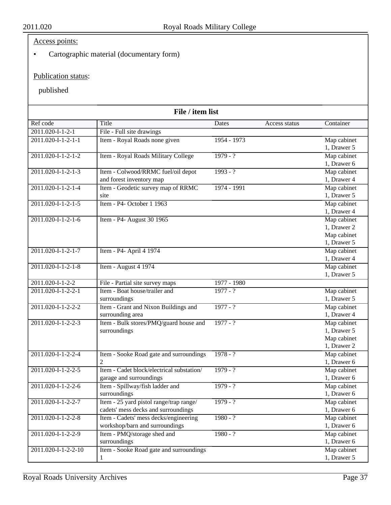## Access points:

• Cartographic material (documentary form)

## Publication status:

| File / item list           |                                           |             |               |             |
|----------------------------|-------------------------------------------|-------------|---------------|-------------|
| Ref code                   | Title                                     | Dates       | Access status | Container   |
| 2011.020-I-1-2-1           | File - Full site drawings                 |             |               |             |
| 2011.020-I-1-2-1-1         | Item - Royal Roads none given             | 1954 - 1973 |               | Map cabinet |
|                            |                                           |             |               | 1, Drawer 5 |
| 2011.020-I-1-2-1-2         | Item - Royal Roads Military College       | $1979 - ?$  |               | Map cabinet |
|                            |                                           |             |               | 1, Drawer 6 |
| $2011.020 - 1 - 2 - 1 - 3$ | Item - Colwood/RRMC fuel/oil depot        | $1993 - ?$  |               | Map cabinet |
|                            | and forest inventory map                  |             |               | 1, Drawer 4 |
| $2011.020 - 1 - 2 - 1 - 4$ | Item - Geodetic survey map of RRMC        | 1974 - 1991 |               | Map cabinet |
|                            | site                                      |             |               | 1, Drawer 5 |
| 2011.020-I-1-2-1-5         | Item - P4- October 1 1963                 |             |               | Map cabinet |
|                            |                                           |             |               | 1, Drawer 4 |
| 2011.020-I-1-2-1-6         | Item - P4- August 30 1965                 |             |               | Map cabinet |
|                            |                                           |             |               | 1, Drawer 2 |
|                            |                                           |             |               | Map cabinet |
|                            |                                           |             |               | 1, Drawer 5 |
| 2011.020-I-1-2-1-7         | Item - P4- April 4 1974                   |             |               | Map cabinet |
|                            |                                           |             |               | 1, Drawer 4 |
| 2011.020-I-1-2-1-8         | Item - August 4 1974                      |             |               | Map cabinet |
|                            |                                           |             |               | 1, Drawer 5 |
| $2011.020 - 1 - 2 - 2$     | File - Partial site survey maps           | 1977 - 1980 |               |             |
| 2011.020-I-1-2-2-1         | Item - Boat house/trailer and             | $1977 - ?$  |               | Map cabinet |
|                            | surroundings                              |             |               | 1, Drawer 5 |
| 2011.020-I-1-2-2-2         | Item - Grant and Nixon Buildings and      | $1977 - ?$  |               | Map cabinet |
|                            | surrounding area                          |             |               | 1, Drawer 4 |
| 2011.020-I-1-2-2-3         | Item - Bulk stores/PMQ/guard house and    | $1977 - ?$  |               | Map cabinet |
|                            | surroundings                              |             |               | 1, Drawer 5 |
|                            |                                           |             |               | Map cabinet |
|                            |                                           |             |               | 1, Drawer 2 |
| 2011.020-I-1-2-2-4         | Item - Sooke Road gate and surroundings   | $1978 - ?$  |               | Map cabinet |
|                            | $\overline{2}$                            |             |               | 1, Drawer 6 |
| 2011.020-I-1-2-2-5         | Item - Cadet block/electrical substation/ | $1979 - ?$  |               | Map cabinet |
|                            | garage and surroundings                   |             |               | 1, Drawer 6 |
| 2011.020-I-1-2-2-6         | Item - Spillway/fish ladder and           | $1979 - ?$  |               | Map cabinet |
|                            | surroundings                              |             |               | 1, Drawer 6 |
| 2011.020-I-1-2-2-7         | Item - 25 yard pistol range/trap range/   | $1979 - ?$  |               | Map cabinet |
|                            | cadets' mess decks and surroundings       |             |               | 1, Drawer 6 |
| 2011.020-I-1-2-2-8         | Item - Cadets' mess decks/engineering     | $1980 - ?$  |               | Map cabinet |
|                            | workshop/barn and surroundings            |             |               | 1, Drawer 6 |
| 2011.020-I-1-2-2-9         | Item - PMQ/storage shed and               | $1980 - ?$  |               | Map cabinet |
|                            | surroundings                              |             |               | 1, Drawer 6 |
| 2011.020-I-1-2-2-10        | Item - Sooke Road gate and surroundings   |             |               | Map cabinet |
|                            | 1                                         |             |               | 1, Drawer 5 |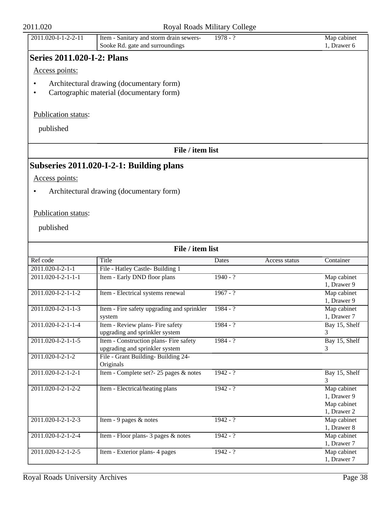| Access points:                 |                                                                                      |                        |                            |
|--------------------------------|--------------------------------------------------------------------------------------|------------------------|----------------------------|
|                                | Architectural drawing (documentary form)<br>Cartographic material (documentary form) |                        |                            |
| Publication status:            |                                                                                      |                        |                            |
| published                      |                                                                                      |                        |                            |
|                                | File / item list                                                                     |                        |                            |
|                                | Subseries 2011.020-I-2-1: Building plans                                             |                        |                            |
| Access points:                 |                                                                                      |                        |                            |
|                                | Architectural drawing (documentary form)                                             |                        |                            |
|                                |                                                                                      |                        |                            |
| Publication status:            |                                                                                      |                        |                            |
|                                |                                                                                      |                        |                            |
| published                      |                                                                                      |                        |                            |
|                                | File / item list                                                                     |                        |                            |
| Ref code                       | <b>Title</b>                                                                         | Dates<br>Access status | Container                  |
| $2011.020 - 1 - 2 - 1 - 1$     | File - Hatley Castle- Building 1                                                     |                        |                            |
| 2011.020-I-2-1-1-1             | Item - Early DND floor plans                                                         | $1940 - ?$             | Map cabinet                |
| $2011.020 - 1 - 2 - 1 - 1 - 2$ | Item - Electrical systems renewal                                                    | $1967 - ?$             | 1, Drawer 9<br>Map cabinet |
|                                |                                                                                      |                        | 1, Drawer 9                |
| 2011.020-I-2-1-1-3             | Item - Fire safety upgrading and sprinkler                                           | $1984 - ?$             | Map cabinet                |
|                                | system                                                                               |                        | 1, Drawer 7                |
| $2011.020 - 1 - 2 - 1 - 1 - 4$ | Item - Review plans- Fire safety                                                     | $1984 - ?$             | Bay 15, Shelf              |
| 2011.020-I-2-1-1-5             | upgrading and sprinkler system<br>Item - Construction plans- Fire safety             | $1984 - ?$             | 3<br>Bay 15, Shelf         |
|                                | upgrading and sprinkler system                                                       |                        | 3                          |
| 2011.020-I-2-1-2               | File - Grant Building-Building 24-                                                   |                        |                            |
|                                | Originals                                                                            |                        |                            |
| 2011.020-I-2-1-2-1             | Item - Complete set?- 25 pages & notes                                               | $1942 - ?$             | Bay 15, Shelf              |
|                                |                                                                                      |                        | 3                          |
| 2011.020-I-2-1-2-2             | Item - Electrical/heating plans                                                      | $1942 - ?$             | Map cabinet<br>1, Drawer 9 |
|                                |                                                                                      |                        | Map cabinet                |
|                                |                                                                                      |                        | 1, Drawer 2                |
| 2011.020-I-2-1-2-3             | Item - 9 pages $&$ notes                                                             | $1942 - ?$             | Map cabinet                |
|                                |                                                                                      |                        | 1, Drawer 8                |
| 2011.020-I-2-1-2-4             | Item - Floor plans- 3 pages & notes                                                  | $1942 - ?$             | Map cabinet                |
|                                |                                                                                      |                        | 1, Drawer 7                |
| 2011.020-I-2-1-2-5             | Item - Exterior plans- 4 pages                                                       | $1942 - ?$             | Map cabinet                |
|                                |                                                                                      |                        | 1, Drawer 7                |

# 2011.020-I-1-2-2-11 Item - Sanitary and storm drain sewers-

**Series 2011.020-I-2: Plans**

## 2011.020 Royal Roads Military College

1978 - ? Map cabinet

1, Drawer 6

Sooke Rd. gate and surroundings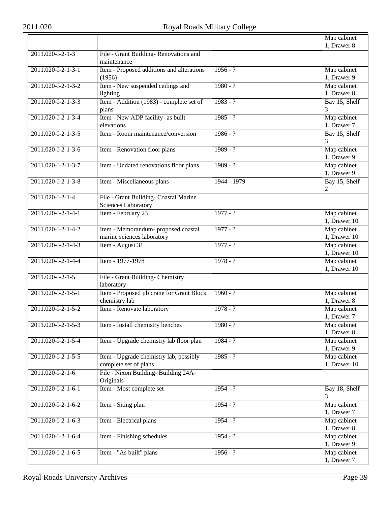|                                       |                                           |             | Map cabinet   |
|---------------------------------------|-------------------------------------------|-------------|---------------|
|                                       |                                           |             | 1, Drawer 8   |
| $20\overline{11.020 - 1 - 2 - 1} - 3$ | File - Grant Building-Renovations and     |             |               |
|                                       | maintenance                               |             |               |
| 2011.020-I-2-1-3-1                    | Item - Proposed additions and alterations | $1956 - ?$  | Map cabinet   |
|                                       | (1956)                                    |             | 1, Drawer 9   |
| 2011.020-I-2-1-3-2                    | Item - New suspended ceilings and         | $1980 - ?$  | Map cabinet   |
|                                       | lighting                                  |             | 1, Drawer 8   |
| 2011.020-I-2-1-3-3                    | Item - Addition (1983) - complete set of  | $1983 - ?$  | Bay 15, Shelf |
|                                       | plans                                     |             | 3             |
| 2011.020-I-2-1-3-4                    | Item - New ADP facility- as built         | $1985 - ?$  | Map cabinet   |
|                                       | elevations                                |             | 1, Drawer 7   |
| 2011.020-I-2-1-3-5                    | Item - Room maintenance/conversion        | $1986 - ?$  | Bay 15, Shelf |
|                                       |                                           |             | 3             |
| 2011.020-I-2-1-3-6                    | Item - Renovation floor plans             | $1989 - ?$  | Map cabinet   |
|                                       |                                           |             | 1, Drawer 9   |
| 2011.020-I-2-1-3-7                    | Item - Undated renovations floor plans    | $1989 - ?$  | Map cabinet   |
|                                       |                                           |             | 1, Drawer 9   |
| $2011.020 - 1 - 2 - 1 - 3 - 8$        | Item - Miscellaneous plans                | 1944 - 1979 | Bay 15, Shelf |
|                                       |                                           |             | 2             |
| 2011.020-I-2-1-4                      | File - Grant Building- Coastal Marine     |             |               |
|                                       | <b>Sciences Laboratory</b>                |             |               |
| 2011.020-I-2-1-4-1                    | Item - February 23                        | $1977 - ?$  | Map cabinet   |
|                                       |                                           |             | 1, Drawer 10  |
| 2011.020-I-2-1-4-2                    | Item - Memorandum- proposed coastal       | $1977 - ?$  | Map cabinet   |
|                                       | marine sciences laboratory                |             | 1, Drawer 10  |
| 2011.020-I-2-1-4-3                    | Item - August 31                          | $1977 - ?$  | Map cabinet   |
|                                       |                                           |             | 1, Drawer 10  |
| 2011.020-I-2-1-4-4                    | Item - 1977-1978                          | $1978 - ?$  | Map cabinet   |
|                                       |                                           |             | 1, Drawer 10  |
| $2011.020 - 1 - 2 - 1 - 5$            | File - Grant Building- Chemistry          |             |               |
|                                       | laboratory                                |             |               |
| $2011.020 - 1 - 2 - 1 - 5 - 1$        | Item - Proposed jib crane for Grant Block | $1960 - ?$  | Map cabinet   |
|                                       | chemistry lab                             |             | 1, Drawer 8   |
| 2011.020-I-2-1-5-2                    | Item - Renovate laboratory                | $1978 - ?$  | Map cabinet   |
|                                       |                                           |             | 1, Drawer 7   |
| 2011.020-I-2-1-5-3                    | Item - Install chemistry benches          | $1980 - ?$  | Map cabinet   |
|                                       |                                           |             | 1, Drawer 8   |
| 2011.020-I-2-1-5-4                    | Item - Upgrade chemistry lab floor plan   | $1984 - ?$  | Map cabinet   |
|                                       |                                           |             | 1, Drawer 9   |
| $2011.020 - 1 - 2 - 1 - 5 - 5$        | Item - Upgrade chemistry lab, possibly    | $1985 - ?$  | Map cabinet   |
|                                       | complete set of plans                     |             | 1, Drawer 10  |
| 2011.020-I-2-1-6                      | File - Nixon Building-Building 24A-       |             |               |
|                                       | Originals                                 |             |               |
| 2011.020-I-2-1-6-1                    | Item - Most complete set                  | $1954 - ?$  | Bay 18, Shelf |
|                                       |                                           |             | 3             |
| 2011.020-I-2-1-6-2                    | Item - Siting plan                        | $1954 - ?$  | Map cabinet   |
|                                       |                                           |             | 1, Drawer 7   |
| 2011.020-I-2-1-6-3                    | Item - Electrical plans                   | $1954 - ?$  | Map cabinet   |
|                                       |                                           |             | 1, Drawer 8   |
| 2011.020-I-2-1-6-4                    | Item - Finishing schedules                | $1954 - ?$  | Map cabinet   |
|                                       |                                           |             | 1, Drawer 9   |
| 2011.020-I-2-1-6-5                    | Item - "As built" plans                   | $1956 - ?$  | Map cabinet   |
|                                       |                                           |             | 1, Drawer 7   |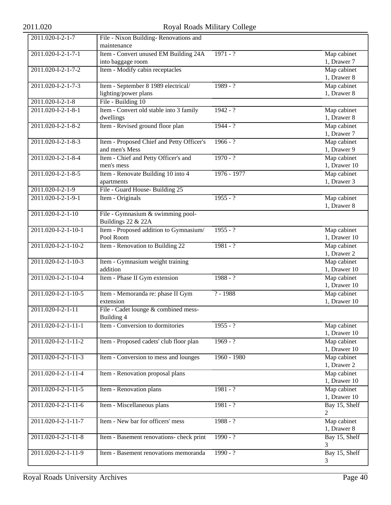| 2011.020-I-2-1-7    | File - Nixon Building-Renovations and                   |             |               |
|---------------------|---------------------------------------------------------|-------------|---------------|
|                     | maintenance                                             |             |               |
| 2011.020-I-2-1-7-1  | Item - Convert unused EM Building 24A                   | $1971 - ?$  | Map cabinet   |
|                     | into baggage room                                       |             | 1, Drawer 7   |
| 2011.020-I-2-1-7-2  | Item - Modify cabin receptacles                         |             | Map cabinet   |
|                     |                                                         |             | 1, Drawer 8   |
| 2011.020-I-2-1-7-3  | Item - September 8 1989 electrical/                     | $1989 - ?$  | Map cabinet   |
|                     | lighting/power plans                                    |             | 1, Drawer 8   |
| 2011.020-I-2-1-8    | File - Building 10                                      |             |               |
| 2011.020-I-2-1-8-1  | Item - Convert old stable into 3 family                 | $1942 - ?$  | Map cabinet   |
|                     | dwellings                                               |             | 1, Drawer 8   |
| 2011.020-I-2-1-8-2  | Item - Revised ground floor plan                        | $1944 - ?$  | Map cabinet   |
|                     |                                                         |             | 1, Drawer 7   |
| 2011.020-I-2-1-8-3  | Item - Proposed Chief and Petty Officer's               | $1966 - ?$  | Map cabinet   |
|                     | and men's Mess                                          |             | 1, Drawer 9   |
| 2011.020-I-2-1-8-4  | Item - Chief and Petty Officer's and                    | $1970 - ?$  | Map cabinet   |
|                     | men's mess                                              |             | 1, Drawer 10  |
| 2011.020-I-2-1-8-5  | Item - Renovate Building 10 into 4                      | 1976 - 1977 | Map cabinet   |
|                     | apartments                                              |             | 1, Drawer 3   |
| 2011.020-I-2-1-9    | File - Guard House- Building 25                         |             |               |
| 2011.020-I-2-1-9-1  |                                                         | $1955 - ?$  |               |
|                     | Item - Originals                                        |             | Map cabinet   |
|                     |                                                         |             | 1, Drawer 8   |
| 2011.020-I-2-1-10   | File - Gymnasium & swimming pool-<br>Buildings 22 & 22A |             |               |
| 2011.020-I-2-1-10-1 | Item - Proposed addition to Gymnasium/                  | $1955 - ?$  | Map cabinet   |
|                     | Pool Room                                               |             | 1, Drawer 10  |
| 2011.020-I-2-1-10-2 | Item - Renovation to Building 22                        | $1981 - ?$  | Map cabinet   |
|                     |                                                         |             | 1, Drawer 2   |
| 2011.020-I-2-1-10-3 | Item - Gymnasium weight training                        |             | Map cabinet   |
|                     | addition                                                |             | 1, Drawer 10  |
| 2011.020-I-2-1-10-4 | Item - Phase II Gym extension                           | $1988 - ?$  | Map cabinet   |
|                     |                                                         |             | 1, Drawer 10  |
| 2011.020-I-2-1-10-5 | Item - Memoranda re: phase II Gym                       | $? - 1988$  | Map cabinet   |
|                     | extension                                               |             | 1, Drawer 10  |
| 2011.020-I-2-1-11   | File - Cadet lounge & combined mess-                    |             |               |
|                     | Building 4                                              |             |               |
| 2011.020-I-2-1-11-1 | Item - Conversion to dormitories                        | $1955 - ?$  | Map cabinet   |
|                     |                                                         |             | 1, Drawer 10  |
| 2011.020-I-2-1-11-2 | Item - Proposed cadets' club floor plan                 | $1969 - ?$  | Map cabinet   |
|                     |                                                         |             | 1, Drawer 10  |
| 2011.020-I-2-1-11-3 | Item - Conversion to mess and lounges                   | 1960 - 1980 | Map cabinet   |
|                     |                                                         |             | 1, Drawer 2   |
| 2011.020-I-2-1-11-4 | Item - Renovation proposal plans                        |             | Map cabinet   |
|                     |                                                         |             | 1, Drawer 10  |
| 2011.020-I-2-1-11-5 | Item - Renovation plans                                 | $1981 - ?$  | Map cabinet   |
|                     |                                                         |             | 1, Drawer 10  |
| 2011.020-I-2-1-11-6 | Item - Miscellaneous plans                              | $1981 - ?$  | Bay 15, Shelf |
|                     |                                                         |             | 2             |
| 2011.020-I-2-1-11-7 | Item - New bar for officers' mess                       | $1988 - ?$  | Map cabinet   |
|                     |                                                         |             | 1, Drawer 8   |
| 2011.020-I-2-1-11-8 | Item - Basement renovations- check print                | $1990 - ?$  | Bay 15, Shelf |
|                     |                                                         |             | 3             |
| 2011.020-I-2-1-11-9 | Item - Basement renovations memoranda                   | $1990 - ?$  | Bay 15, Shelf |
|                     |                                                         |             | 3             |
|                     |                                                         |             |               |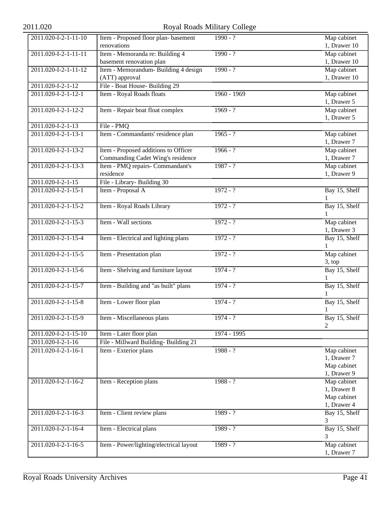# 2011.020 Royal Roads Military College

| 2011.020-I-2-1-11-10   | Item - Proposed floor plan- basement    | $1990 - ?$    | Map cabinet                   |
|------------------------|-----------------------------------------|---------------|-------------------------------|
|                        | renovations                             |               | 1, Drawer 10                  |
| $2011.020-I-2-1-11-11$ | Item - Memoranda re: Building 4         | $1990 - ?$    | Map cabinet                   |
|                        | basement renovation plan                |               | 1, Drawer 10                  |
| 2011.020-I-2-1-11-12   | Item - Memorandum- Building 4 design    | $1990 - ?$    | Map cabinet                   |
|                        | (ATT) approval                          |               | 1, Drawer 10                  |
| 2011.020-I-2-1-12      | File - Boat House- Building 29          |               |                               |
| 2011.020-I-2-1-12-1    | Item - Royal Roads floats               | $1960 - 1969$ | Map cabinet                   |
|                        |                                         |               | 1, Drawer 5                   |
| 2011.020-I-2-1-12-2    | Item - Repair boat float complex        | $1969 - ?$    | Map cabinet                   |
|                        |                                         |               | 1, Drawer 5                   |
| 2011.020-I-2-1-13      | File - PMQ                              |               |                               |
| 2011.020-I-2-1-13-1    | Item - Commandants' residence plan      | $1965 - ?$    | Map cabinet                   |
|                        |                                         |               | 1, Drawer 7                   |
| 2011.020-I-2-1-13-2    | Item - Proposed additions to Officer    | $1966 - ?$    | Map cabinet                   |
|                        | Commanding Cadet Wing's residence       |               | 1, Drawer 7                   |
| 2011.020-I-2-1-13-3    | Item - PMQ repairs- Commandant's        | $1987 - ?$    | Map cabinet                   |
|                        | residence                               |               | 1, Drawer 9                   |
| 2011.020-I-2-1-15      | File - Library- Building 30             |               |                               |
| 2011.020-I-2-1-15-1    | Item - Proposal A                       | $1972 - ?$    | Bay 15, Shelf                 |
|                        |                                         |               | 1                             |
| 2011.020-I-2-1-15-2    | Item - Royal Roads Library              | $1972 - ?$    | Bay 15, Shelf                 |
|                        |                                         |               | 1                             |
| 2011.020-I-2-1-15-3    | Item - Wall sections                    | $1972 - ?$    | Map cabinet                   |
|                        |                                         |               | 1, Drawer 3                   |
| 2011.020-I-2-1-15-4    | Item - Electrical and lighting plans    | $1972 - ?$    | Bay 15, Shelf                 |
|                        |                                         |               | 1                             |
| 2011.020-I-2-1-15-5    | Item - Presentation plan                | $1972 - ?$    | Map cabinet                   |
|                        |                                         |               | 3, top                        |
| 2011.020-I-2-1-15-6    | Item - Shelving and furniture layout    | $1974 - ?$    | Bay 15, Shelf                 |
|                        | Item - Building and "as built" plans    | $1974 - ?$    | 1                             |
| 2011.020-I-2-1-15-7    |                                         |               | Bay 15, Shelf<br>$\mathbf{1}$ |
| 2011.020-I-2-1-15-8    | Item - Lower floor plan                 | $1974 - ?$    | Bay 15, Shelf                 |
|                        |                                         |               | 1                             |
| 2011.020-I-2-1-15-9    | Item - Miscellaneous plans              | $1974 - ?$    | Bay 15, Shelf                 |
|                        |                                         |               | 2                             |
| 2011.020-I-2-1-15-10   | Item - Later floor plan                 | 1974 - 1995   |                               |
| 2011.020-I-2-1-16      | File - Millward Building- Building 21   |               |                               |
| 2011.020-I-2-1-16-1    | Item - Exterior plans                   | $1988 - ?$    | Map cabinet                   |
|                        |                                         |               | 1, Drawer 7                   |
|                        |                                         |               | Map cabinet                   |
|                        |                                         |               | 1, Drawer 9                   |
| 2011.020-I-2-1-16-2    | Item - Reception plans                  | $1988 - ?$    | Map cabinet                   |
|                        |                                         |               | 1, Drawer 8                   |
|                        |                                         |               | Map cabinet                   |
|                        |                                         |               | 1, Drawer 4                   |
| 2011.020-I-2-1-16-3    | Item - Client review plans              | $1989 - ?$    | Bay 15, Shelf                 |
|                        |                                         |               | 3                             |
| 2011.020-I-2-1-16-4    | Item - Electrical plans                 | $1989 - ?$    | Bay 15, Shelf                 |
|                        |                                         |               | 3                             |
| 2011.020-I-2-1-16-5    | Item - Power/lighting/electrical layout | $1989 - ?$    | Map cabinet                   |
|                        |                                         |               | 1, Drawer 7                   |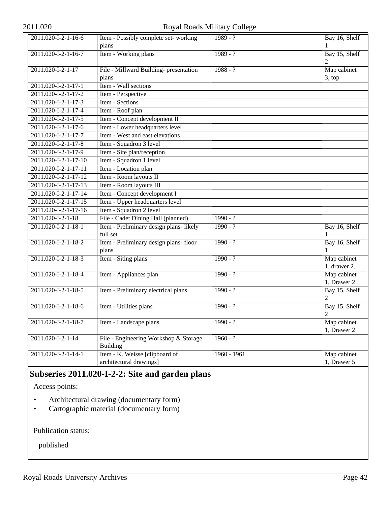### 2011.020 Royal Roads Military College

| 2011.020-I-2-1-16-6                        | Item - Possibly complete set-working    | $1989 - ?$    | Bay 16, Shelf |
|--------------------------------------------|-----------------------------------------|---------------|---------------|
|                                            | plans                                   |               |               |
| 2011.020-I-2-1-16-7                        | Item - Working plans                    | $1989 - ?$    | Bay 15, Shelf |
|                                            |                                         |               |               |
| 2011.020-I-2-1-17                          | File - Millward Building- presentation  | $1988 - ?$    | Map cabinet   |
|                                            | plans                                   |               | 3, top        |
| 2011.020-I-2-1-17-1                        | Item - Wall sections                    |               |               |
| 2011.020-I-2-1-17-2                        | Item - Perspective                      |               |               |
| 2011.020-I-2-1-17-3                        | Item - Sections                         |               |               |
| 2011.020-I-2-1-17-4                        | Item - Roof plan                        |               |               |
| 2011.020-I-2-1-17-5                        | Item - Concept development II           |               |               |
| 2011.020-I-2-1-17-6                        | Item - Lower headquarters level         |               |               |
| 2011.020-I-2-1-17-7                        | Item - West and east elevations         |               |               |
| 2011.020-I-2-1-17-8                        | Item - Squadron 3 level                 |               |               |
| 2011.020-I-2-1-17-9                        | Item - Site plan/reception              |               |               |
| 2011.020-I-2-1-17-10                       | Item - Squadron 1 level                 |               |               |
| 2011.020-I-2-1-17-11                       | Item - Location plan                    |               |               |
| 2011.020-I-2-1-17-12                       | Item - Room layouts II                  |               |               |
| 2011.020-I-2-1-17-13                       | Item - Room layouts III                 |               |               |
| 2011.020-I-2-1-17-14                       | Item - Concept development I            |               |               |
| 2011.020-I-2-1-17-15                       | Item - Upper headquarters level         |               |               |
| 2011.020-I-2-1-17-16                       | Item - Squadron 2 level                 |               |               |
| 2011.020-I-2-1-18                          | File - Cadet Dining Hall (planned)      | $1990 - ?$    |               |
| 2011.020-I-2-1-18-1                        | Item - Preliminary design plans- likely | $1990 - ?$    | Bay 16, Shelf |
|                                            | full set                                |               |               |
| 2011.020-I-2-1-18-2                        | Item - Preliminary design plans- floor  | $1990 - ?$    | Bay 16, Shelf |
|                                            | plans                                   |               |               |
| 2011.020-I-2-1-18-3                        | Item - Siting plans                     | $1990 - ?$    | Map cabinet   |
|                                            |                                         |               | 1, drawer 2.  |
| 2011.020-I-2-1-18-4                        | Item - Appliances plan                  | $1990 - ?$    | Map cabinet   |
|                                            |                                         |               | 1, Drawer 2   |
| 2011.020-I-2-1-18-5                        | Item - Preliminary electrical plans     | $1990 - ?$    | Bay 15, Shelf |
|                                            |                                         |               | 2             |
| 2011.020-I-2-1-18-6                        | Item - Utilities plans                  | $1990 - ?$    | Bay 15, Shelf |
|                                            |                                         |               | 2             |
| 2011.020-I-2-1-18-7                        | Item - Landscape plans                  | $1990 - ?$    | Map cabinet   |
|                                            |                                         |               | 1, Drawer 2   |
| 2011.020-I-2-1-14                          | File - Engineering Workshop & Storage   | $1960 - ?$    |               |
|                                            | <b>Building</b>                         |               |               |
| $2011.020 - \overline{I - 2 - 1 - 14 - 1}$ | Item - K. Weisse [clipboard of          | $1960 - 1961$ | Map cabinet   |
|                                            | architectural drawings]                 |               | 1, Drawer 5   |

## **Subseries 2011.020-I-2-2: Site and garden plans**

Access points:

- Architectural drawing (documentary form)
- Cartographic material (documentary form)

Publication status: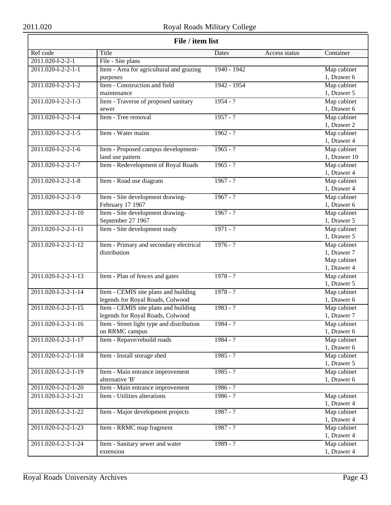| File / item list                |                                           |               |               |              |
|---------------------------------|-------------------------------------------|---------------|---------------|--------------|
| Ref code                        | <b>Title</b>                              | Dates         | Access status | Container    |
| 2011.020-I-2-2-1                | File - Site plans                         |               |               |              |
| 2011.020-I-2-2-1-1              | Item - Area for agricultural and grazing  | $1940 - 1942$ |               | Map cabinet  |
|                                 | purposes                                  |               |               | 1, Drawer 6  |
| 2011.020-I-2-2-1-2              | Item - Construction and field             | 1942 - 1954   |               | Map cabinet  |
|                                 | maintenance                               |               |               | 1, Drawer 5  |
| 2011.020-I-2-2-1-3              | Item - Traverse of proposed sanitary      | $1954 - ?$    |               | Map cabinet  |
|                                 | sewer                                     |               |               | 1, Drawer 6  |
| 2011.020-I-2-2-1-4              | Item - Tree removal                       | $1957 - ?$    |               | Map cabinet  |
|                                 |                                           |               |               | 1, Drawer 2  |
| 2011.020-I-2-2-1-5              | Item - Water mains                        | $1962 - ?$    |               | Map cabinet  |
|                                 |                                           |               |               | 1, Drawer 4  |
| 2011.020-I-2-2-1-6              | Item - Proposed campus development-       | $1965 - ?$    |               | Map cabinet  |
|                                 | land use pattern                          |               |               | 1, Drawer 10 |
| 2011.020-I-2-2-1-7              | Item - Redevelopment of Royal Roads       | $1965 - ?$    |               | Map cabinet  |
|                                 |                                           |               |               | 1, Drawer 4  |
| 2011.020-I-2-2-1-8              | Item - Road use diagram                   | $1967 - ?$    |               | Map cabinet  |
|                                 |                                           |               |               | 1, Drawer 4  |
| 2011.020-I-2-2-1-9              | Item - Site development drawing-          | $1967 - ?$    |               | Map cabinet  |
|                                 | February 17 1967                          |               |               | 1, Drawer 6  |
| 2011.020-I-2-2-1-10             | Item - Site development drawing-          | $1967 - ?$    |               | Map cabinet  |
|                                 | September 27 1967                         |               |               | 1, Drawer 5  |
| 2011.020-I-2-2-1-11             | Item - Site development study             | $1971 - ?$    |               | Map cabinet  |
|                                 |                                           |               |               | 1, Drawer 5  |
| 2011.020-I-2-2-1-12             | Item - Primary and secondary electrical   | $1976 - ?$    |               | Map cabinet  |
|                                 | distribution                              |               |               | 1, Drawer 7  |
|                                 |                                           |               |               | Map cabinet  |
|                                 |                                           |               |               | 1, Drawer 4  |
| 2011.020-I-2-2-1-13             | Item - Plan of fences and gates           | $1978 - ?$    |               | Map cabinet  |
|                                 |                                           |               |               | 1, Drawer 5  |
| 2011.020-I-2-2-1-14             | Item - CEMIS site plans and building      | $1978 - ?$    |               | Map cabinet  |
|                                 | legends for Royal Roads, Colwood          |               |               | 1, Drawer 6  |
| 2011.020-I-2-2-1-15             | Item - CEMIS site plans and building      | $1983 - ?$    |               | Map cabinet  |
|                                 | legends for Royal Roads, Colwood          |               |               | 1, Drawer 7  |
| 2011.020-I-2-2-1-16             | Item - Street light type and distribution | $1984 - ?$    |               | Map cabinet  |
|                                 | on RRMC campus                            |               |               | 1, Drawer 6  |
| 2011.020-I-2-2-1-17             | Item - Repave/rebuild roads               | $1984 - ?$    |               | Map cabinet  |
|                                 |                                           |               |               | 1, Drawer 6  |
| 2011.020-I-2-2-1-18             | Item - Install storage shed               | $1985 - ?$    |               | Map cabinet  |
|                                 |                                           |               |               | 1, Drawer 5  |
| $2011.020 - 1 - 2 - 2 - 1 - 19$ | Item - Main entrance improvement          | $1985 - ?$    |               | Map cabinet  |
|                                 | alternative 'B'                           |               |               | 1, Drawer 6  |
| 2011.020-I-2-2-1-20             | Item - Main entrance improvement          | $1986 - ?$    |               |              |
| 2011.020-I-2-2-1-21             | Item - Utilities alterations              | $1986 - ?$    |               | Map cabinet  |
|                                 |                                           |               |               | 1, Drawer 4  |
| 2011.020-I-2-2-1-22             | Item - Major development projects         | $1987 - ?$    |               | Map cabinet  |
|                                 |                                           |               |               | 1, Drawer 4  |
| 2011.020-I-2-2-1-23             | Item - RRMC map fragment                  | $1987 - ?$    |               | Map cabinet  |
|                                 |                                           |               |               | 1, Drawer 4  |
| 2011.020-I-2-2-1-24             | Item - Sanitary sewer and water           | $1989 - ?$    |               | Map cabinet  |
|                                 | extension                                 |               |               | 1, Drawer 4  |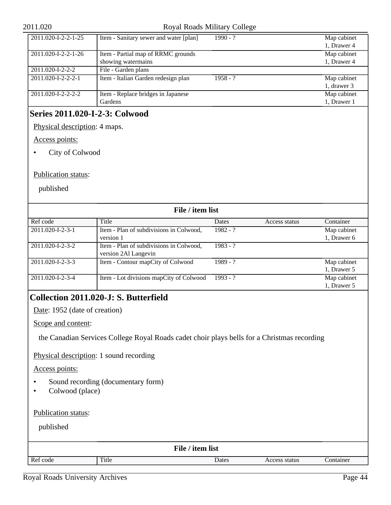#### 2011.020 Royal Roads Military College

| 2011.020-I-2-2-1-25            | Item - Sanitary sewer and water [plan] | $1990 - ?$ | Map cabinet |
|--------------------------------|----------------------------------------|------------|-------------|
|                                |                                        |            | 1, Drawer 4 |
| 2011.020-I-2-2-1-26            | Item - Partial map of RRMC grounds     |            | Map cabinet |
|                                | showing watermains                     |            | 1, Drawer 4 |
| 2011.020-I-2-2-2               | File - Garden plans                    |            |             |
| $2011.020 - 1 - 2 - 2 - 2 - 1$ | Item - Italian Garden redesign plan    | $1958 - ?$ | Map cabinet |
|                                |                                        |            | 1, drawer 3 |
| 2011.020-I-2-2-2-2             | Item - Replace bridges in Japanese     |            | Map cabinet |
|                                | Gardens                                |            | 1, Drawer 1 |

## **Series 2011.020-I-2-3: Colwood**

Physical description: 4 maps.

Access points:

• City of Colwood

Publication status:

published

| File / item list           |                                                                 |              |               |             |  |  |
|----------------------------|-----------------------------------------------------------------|--------------|---------------|-------------|--|--|
| Ref code                   | Title                                                           | <b>Dates</b> | Access status | Container   |  |  |
| 2011.020-I-2-3-1           | Item - Plan of subdivisions in Colwood,                         | $1982 - ?$   |               | Map cabinet |  |  |
|                            | version 1                                                       |              |               | 1, Drawer 6 |  |  |
| 2011.020-I-2-3-2           | Item - Plan of subdivisions in Colwood,<br>version 2Al Langevin | $1983 - ?$   |               |             |  |  |
| 2011.020-I-2-3-3           | Item - Contour mapCity of Colwood                               | $1989 - ?$   |               | Map cabinet |  |  |
|                            |                                                                 |              |               | 1, Drawer 5 |  |  |
| $2011.020 - 1 - 2 - 3 - 4$ | Item - Lot divisions mapCity of Colwood                         | $1993 - ?$   |               | Map cabinet |  |  |
|                            |                                                                 |              |               | 1, Drawer 5 |  |  |

## <span id="page-43-0"></span>**Collection 2011.020-J: S. Butterfield**

Date: 1952 (date of creation)

Scope and content:

the Canadian Services College Royal Roads cadet choir plays bells for a Christmas recording

Physical description: 1 sound recording

Access points:

- Sound recording (documentary form)
- Colwood (place)

Publication status:

published

| File / item list |       |       |               |           |  |
|------------------|-------|-------|---------------|-----------|--|
| Ref code         | Title | Dates | Access status | Container |  |
|                  |       |       |               |           |  |

Royal Roads University Archives Page 44